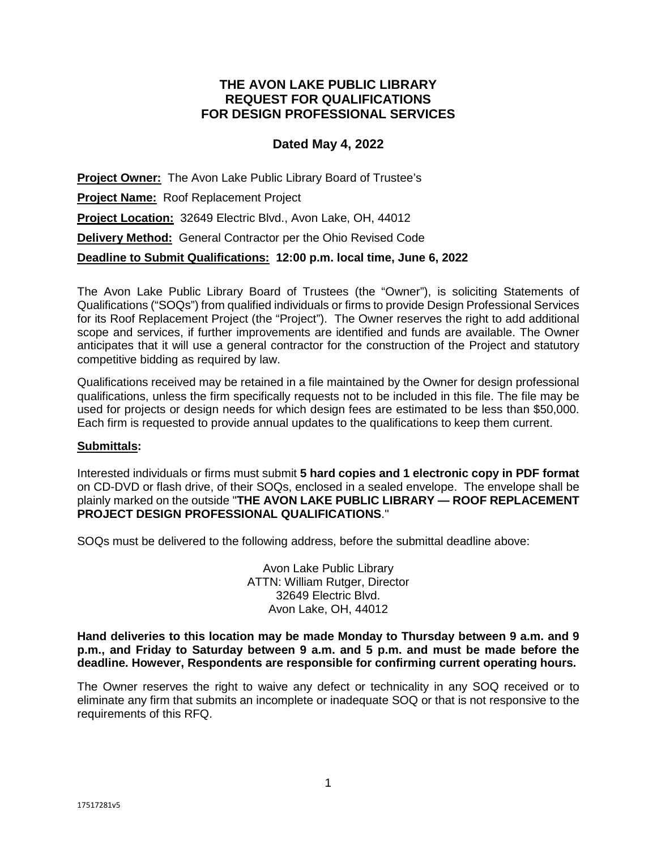# **THE AVON LAKE PUBLIC LIBRARY REQUEST FOR QUALIFICATIONS FOR DESIGN PROFESSIONAL SERVICES**

# **Dated May 4, 2022**

**Project Owner:** The Avon Lake Public Library Board of Trustee's **Project Name:** Roof Replacement Project **Project Location:** 32649 Electric Blvd., Avon Lake, OH, 44012 **Delivery Method:** General Contractor per the Ohio Revised Code **Deadline to Submit Qualifications: 12:00 p.m. local time, June 6, 2022** 

The Avon Lake Public Library Board of Trustees (the "Owner"), is soliciting Statements of Qualifications ("SOQs") from qualified individuals or firms to provide Design Professional Services for its Roof Replacement Project (the "Project"). The Owner reserves the right to add additional scope and services, if further improvements are identified and funds are available. The Owner anticipates that it will use a general contractor for the construction of the Project and statutory competitive bidding as required by law.

Qualifications received may be retained in a file maintained by the Owner for design professional qualifications, unless the firm specifically requests not to be included in this file. The file may be used for projects or design needs for which design fees are estimated to be less than \$50,000. Each firm is requested to provide annual updates to the qualifications to keep them current.

# **Submittals:**

Interested individuals or firms must submit **5 hard copies and 1 electronic copy in PDF format**  on CD-DVD or flash drive, of their SOQs, enclosed in a sealed envelope. The envelope shall be plainly marked on the outside "**THE AVON LAKE PUBLIC LIBRARY — ROOF REPLACEMENT PROJECT DESIGN PROFESSIONAL QUALIFICATIONS**."

SOQs must be delivered to the following address, before the submittal deadline above:

Avon Lake Public Library ATTN: William Rutger, Director 32649 Electric Blvd. Avon Lake, OH, 44012

**Hand deliveries to this location may be made Monday to Thursday between 9 a.m. and 9 p.m., and Friday to Saturday between 9 a.m. and 5 p.m. and must be made before the deadline. However, Respondents are responsible for confirming current operating hours.** 

The Owner reserves the right to waive any defect or technicality in any SOQ received or to eliminate any firm that submits an incomplete or inadequate SOQ or that is not responsive to the requirements of this RFQ.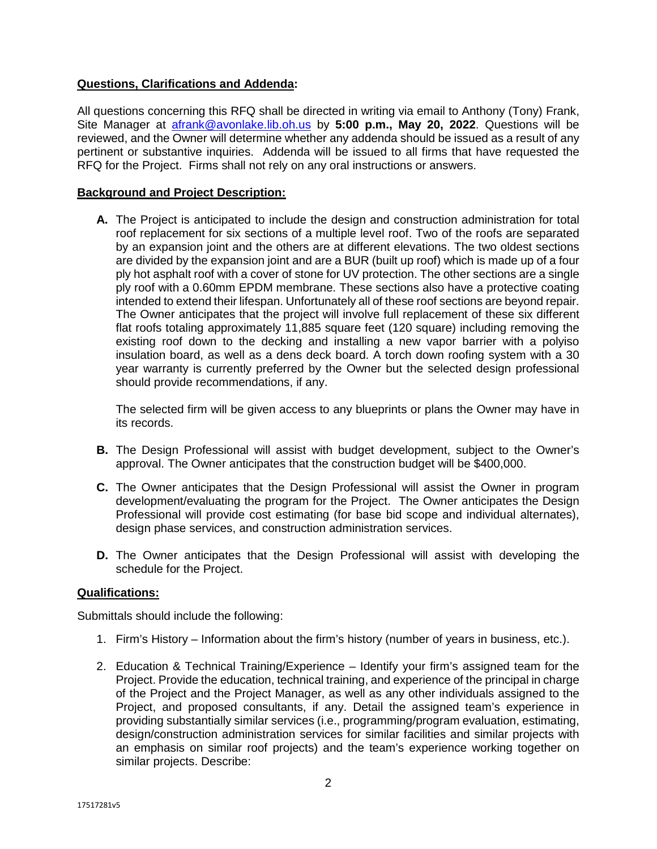# **Questions, Clarifications and Addenda:**

All questions concerning this RFQ shall be directed in writing via email to Anthony (Tony) Frank, Site Manager at afrank@avonlake.lib.oh.us by **5:00 p.m., May 20, 2022**. Questions will be reviewed, and the Owner will determine whether any addenda should be issued as a result of any pertinent or substantive inquiries. Addenda will be issued to all firms that have requested the RFQ for the Project. Firms shall not rely on any oral instructions or answers.

# **Background and Project Description:**

**A.** The Project is anticipated to include the design and construction administration for total roof replacement for six sections of a multiple level roof. Two of the roofs are separated by an expansion joint and the others are at different elevations. The two oldest sections are divided by the expansion joint and are a BUR (built up roof) which is made up of a four ply hot asphalt roof with a cover of stone for UV protection. The other sections are a single ply roof with a 0.60mm EPDM membrane. These sections also have a protective coating intended to extend their lifespan. Unfortunately all of these roof sections are beyond repair. The Owner anticipates that the project will involve full replacement of these six different flat roofs totaling approximately 11,885 square feet (120 square) including removing the existing roof down to the decking and installing a new vapor barrier with a polyiso insulation board, as well as a dens deck board. A torch down roofing system with a 30 year warranty is currently preferred by the Owner but the selected design professional should provide recommendations, if any.

The selected firm will be given access to any blueprints or plans the Owner may have in its records.

- **B.** The Design Professional will assist with budget development, subject to the Owner's approval. The Owner anticipates that the construction budget will be \$400,000.
- **C.** The Owner anticipates that the Design Professional will assist the Owner in program development/evaluating the program for the Project. The Owner anticipates the Design Professional will provide cost estimating (for base bid scope and individual alternates), design phase services, and construction administration services.
- **D.** The Owner anticipates that the Design Professional will assist with developing the schedule for the Project.

# **Qualifications:**

Submittals should include the following:

- 1. Firm's History Information about the firm's history (number of years in business, etc.).
- 2. Education & Technical Training/Experience Identify your firm's assigned team for the Project. Provide the education, technical training, and experience of the principal in charge of the Project and the Project Manager, as well as any other individuals assigned to the Project, and proposed consultants, if any. Detail the assigned team's experience in providing substantially similar services (i.e., programming/program evaluation, estimating, design/construction administration services for similar facilities and similar projects with an emphasis on similar roof projects) and the team's experience working together on similar projects. Describe: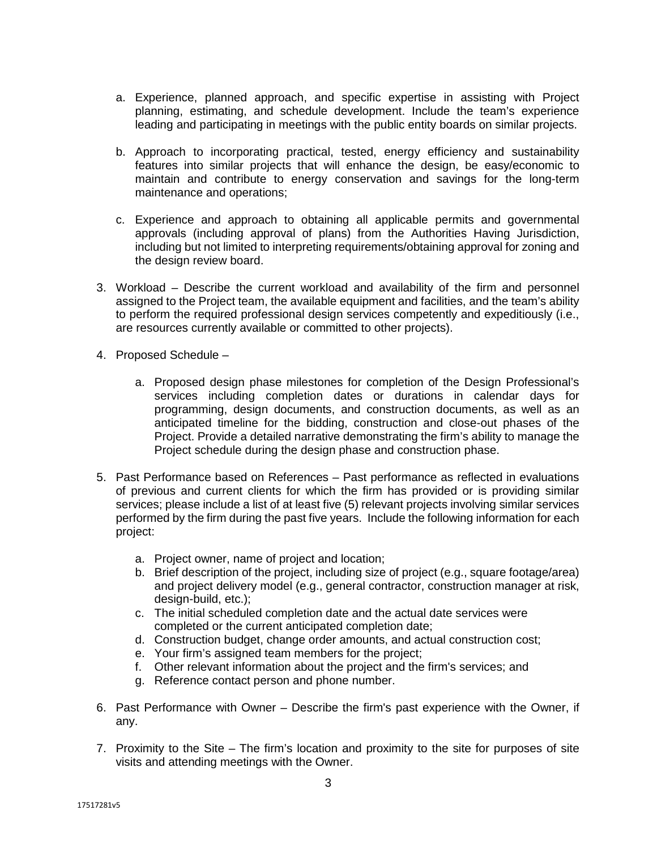- a. Experience, planned approach, and specific expertise in assisting with Project planning, estimating, and schedule development. Include the team's experience leading and participating in meetings with the public entity boards on similar projects.
- b. Approach to incorporating practical, tested, energy efficiency and sustainability features into similar projects that will enhance the design, be easy/economic to maintain and contribute to energy conservation and savings for the long-term maintenance and operations;
- c. Experience and approach to obtaining all applicable permits and governmental approvals (including approval of plans) from the Authorities Having Jurisdiction, including but not limited to interpreting requirements/obtaining approval for zoning and the design review board.
- 3. Workload Describe the current workload and availability of the firm and personnel assigned to the Project team, the available equipment and facilities, and the team's ability to perform the required professional design services competently and expeditiously (i.e., are resources currently available or committed to other projects).
- 4. Proposed Schedule
	- a. Proposed design phase milestones for completion of the Design Professional's services including completion dates or durations in calendar days for programming, design documents, and construction documents, as well as an anticipated timeline for the bidding, construction and close-out phases of the Project. Provide a detailed narrative demonstrating the firm's ability to manage the Project schedule during the design phase and construction phase.
- 5. Past Performance based on References Past performance as reflected in evaluations of previous and current clients for which the firm has provided or is providing similar services; please include a list of at least five (5) relevant projects involving similar services performed by the firm during the past five years. Include the following information for each project:
	- a. Project owner, name of project and location;
	- b. Brief description of the project, including size of project (e.g., square footage/area) and project delivery model (e.g., general contractor, construction manager at risk, design-build, etc.);
	- c. The initial scheduled completion date and the actual date services were completed or the current anticipated completion date;
	- d. Construction budget, change order amounts, and actual construction cost;
	- e. Your firm's assigned team members for the project;
	- f. Other relevant information about the project and the firm's services; and
	- g. Reference contact person and phone number.
- 6. Past Performance with Owner Describe the firm's past experience with the Owner, if any.
- 7. Proximity to the Site The firm's location and proximity to the site for purposes of site visits and attending meetings with the Owner.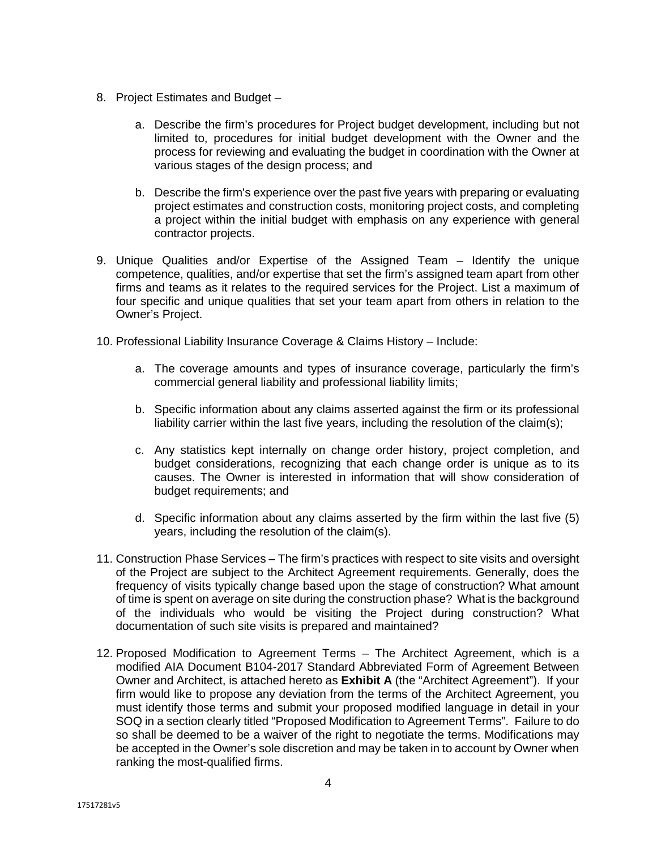- 8. Project Estimates and Budget
	- a. Describe the firm's procedures for Project budget development, including but not limited to, procedures for initial budget development with the Owner and the process for reviewing and evaluating the budget in coordination with the Owner at various stages of the design process; and
	- b. Describe the firm's experience over the past five years with preparing or evaluating project estimates and construction costs, monitoring project costs, and completing a project within the initial budget with emphasis on any experience with general contractor projects.
- 9. Unique Qualities and/or Expertise of the Assigned Team Identify the unique competence, qualities, and/or expertise that set the firm's assigned team apart from other firms and teams as it relates to the required services for the Project. List a maximum of four specific and unique qualities that set your team apart from others in relation to the Owner's Project.
- 10. Professional Liability Insurance Coverage & Claims History Include:
	- a. The coverage amounts and types of insurance coverage, particularly the firm's commercial general liability and professional liability limits;
	- b. Specific information about any claims asserted against the firm or its professional liability carrier within the last five years, including the resolution of the claim(s);
	- c. Any statistics kept internally on change order history, project completion, and budget considerations, recognizing that each change order is unique as to its causes. The Owner is interested in information that will show consideration of budget requirements; and
	- d. Specific information about any claims asserted by the firm within the last five (5) years, including the resolution of the claim(s).
- 11. Construction Phase Services The firm's practices with respect to site visits and oversight of the Project are subject to the Architect Agreement requirements. Generally, does the frequency of visits typically change based upon the stage of construction? What amount of time is spent on average on site during the construction phase? What is the background of the individuals who would be visiting the Project during construction? What documentation of such site visits is prepared and maintained?
- 12. Proposed Modification to Agreement Terms The Architect Agreement, which is a modified AIA Document B104-2017 Standard Abbreviated Form of Agreement Between Owner and Architect, is attached hereto as **Exhibit A** (the "Architect Agreement"). If your firm would like to propose any deviation from the terms of the Architect Agreement, you must identify those terms and submit your proposed modified language in detail in your SOQ in a section clearly titled "Proposed Modification to Agreement Terms". Failure to do so shall be deemed to be a waiver of the right to negotiate the terms. Modifications may be accepted in the Owner's sole discretion and may be taken in to account by Owner when ranking the most-qualified firms.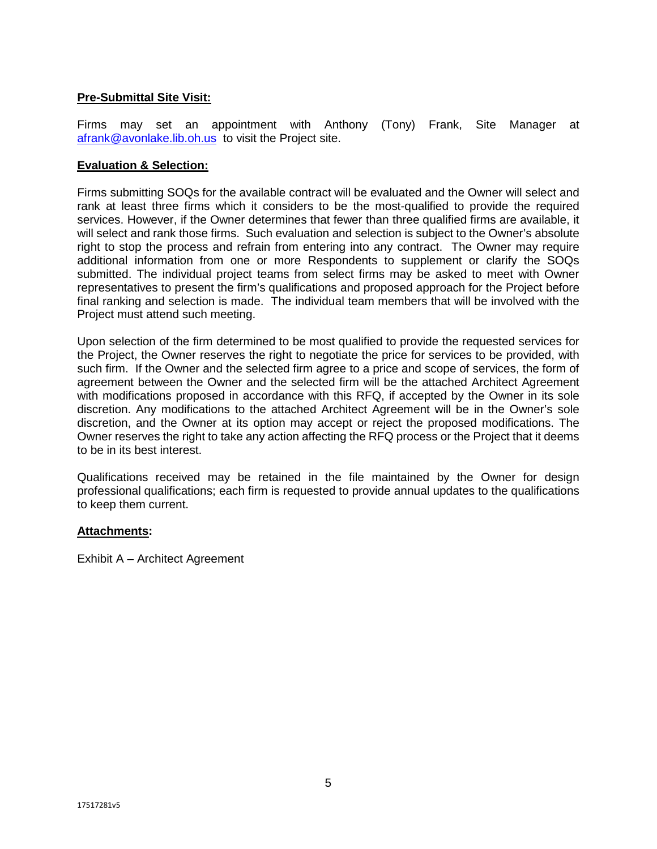# **Pre-Submittal Site Visit:**

Firms may set an appointment with Anthony (Tony) Frank, Site Manager at afrank@avonlake.lib.oh.us to visit the Project site.

# **Evaluation & Selection:**

Firms submitting SOQs for the available contract will be evaluated and the Owner will select and rank at least three firms which it considers to be the most-qualified to provide the required services. However, if the Owner determines that fewer than three qualified firms are available, it will select and rank those firms. Such evaluation and selection is subject to the Owner's absolute right to stop the process and refrain from entering into any contract. The Owner may require additional information from one or more Respondents to supplement or clarify the SOQs submitted. The individual project teams from select firms may be asked to meet with Owner representatives to present the firm's qualifications and proposed approach for the Project before final ranking and selection is made. The individual team members that will be involved with the Project must attend such meeting.

Upon selection of the firm determined to be most qualified to provide the requested services for the Project, the Owner reserves the right to negotiate the price for services to be provided, with such firm. If the Owner and the selected firm agree to a price and scope of services, the form of agreement between the Owner and the selected firm will be the attached Architect Agreement with modifications proposed in accordance with this RFQ, if accepted by the Owner in its sole discretion. Any modifications to the attached Architect Agreement will be in the Owner's sole discretion, and the Owner at its option may accept or reject the proposed modifications. The Owner reserves the right to take any action affecting the RFQ process or the Project that it deems to be in its best interest.

Qualifications received may be retained in the file maintained by the Owner for design professional qualifications; each firm is requested to provide annual updates to the qualifications to keep them current.

# **Attachments:**

Exhibit A – Architect Agreement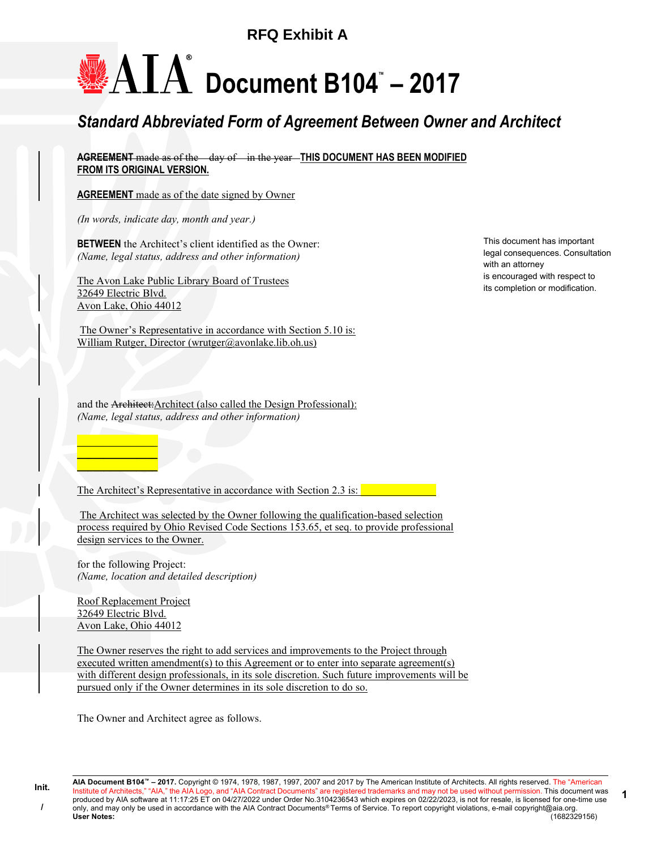# **RFQ Exhibit A**

# Document B104™ – 2017

# Standard Abbreviated Form of Agreement Between Owner and Architect

AGREEMENT made as of the day of in the year-THIS DOCUMENT HAS BEEN MODIFIED FROM ITS ORIGINAL VERSION.

**AGREEMENT** made as of the date signed by Owner

(In words, indicate day, month and year.)

BETWEEN the Architect's client identified as the Owner: (Name, legal status, address and other information)

The Avon Lake Public Library Board of Trustees 32649 Electric Blvd. Avon Lake, Ohio 44012

 The Owner's Representative in accordance with Section 5.10 is: William Rutger, Director (wrutger@avonlake.lib.oh.us)

and the Architect:Architect (also called the Design Professional): (Name, legal status, address and other information)

This document has important legal consequences. Consultation with an attorney is encouraged with respect to its completion or modification.

The Architect's Representative in accordance with Section 2.3 is:

 The Architect was selected by the Owner following the qualification-based selection process required by Ohio Revised Code Sections 153.65, et seq. to provide professional design services to the Owner.

for the following Project: (Name, location and detailed description)

Roof Replacement Project 32649 Electric Blvd. Avon Lake, Ohio 44012

\_\_\_\_\_\_\_\_\_\_\_\_\_\_\_ \_\_\_\_\_\_\_\_\_\_\_\_\_\_\_  $\overline{\phantom{a}}$  , and the set of  $\overline{\phantom{a}}$ 

The Owner reserves the right to add services and improvements to the Project through executed written amendment(s) to this Agreement or to enter into separate agreement(s) with different design professionals, in its sole discretion. Such future improvements will be pursued only if the Owner determines in its sole discretion to do so.

The Owner and Architect agree as follows.

AIA Document B104™ – 2017. Copyright © 1974, 1978, 1987, 1997, 2007 and 2017 by The American Institute of Architects. All rights reserved. The "American Institute of Architects," "AIA," the AIA Logo, and "AIA Contract Documents" are registered trademarks and may not be used without permission. This document was produced by AIA software at 11:17:25 ET on 04/27/2022 under Order No.3104236543 which expires on 02/22/2023, is not for resale, is licensed for one-time use only, and may only be used in accordance with the AIA Contract Documents® Terms of Service. To report copyright violations, e-mail copyright@aia.org.<br>
User Notes: (1682329156) User Notes: (1682329156) 1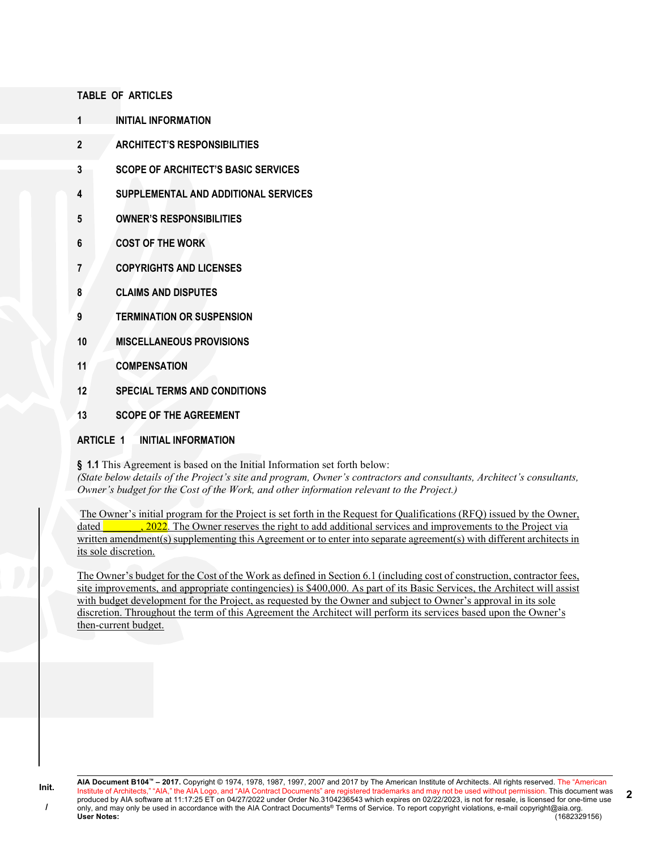#### TABLE OF ARTICLES

- 1 INITIAL INFORMATION
- 2 ARCHITECT'S RESPONSIBILITIES
- 3 SCOPE OF ARCHITECT'S BASIC SERVICES
- 4 SUPPLEMENTAL AND ADDITIONAL SERVICES
- 5 OWNER'S RESPONSIBILITIES
- 6 COST OF THE WORK
- 7 COPYRIGHTS AND LICENSES
- 8 CLAIMS AND DISPUTES
- 9 TERMINATION OR SUSPENSION
- 10 MISCELLANEOUS PROVISIONS
- 11 COMPENSATION
- 12 SPECIAL TERMS AND CONDITIONS
- 13 SCOPE OF THE AGREEMENT

# ARTICLE 1 INITIAL INFORMATION

§ 1.1 This Agreement is based on the Initial Information set forth below:

(State below details of the Project's site and program, Owner's contractors and consultants, Architect's consultants, Owner's budget for the Cost of the Work, and other information relevant to the Project.)

 The Owner's initial program for the Project is set forth in the Request for Qualifications (RFQ) issued by the Owner, dated all contact the Owner reserves the right to add additional services and improvements to the Project via written amendment(s) supplementing this Agreement or to enter into separate agreement(s) with different architects in its sole discretion.

The Owner's budget for the Cost of the Work as defined in Section 6.1 (including cost of construction, contractor fees, site improvements, and appropriate contingencies) is \$400,000. As part of its Basic Services, the Architect will assist with budget development for the Project, as requested by the Owner and subject to Owner's approval in its sole discretion. Throughout the term of this Agreement the Architect will perform its services based upon the Owner's then-current budget.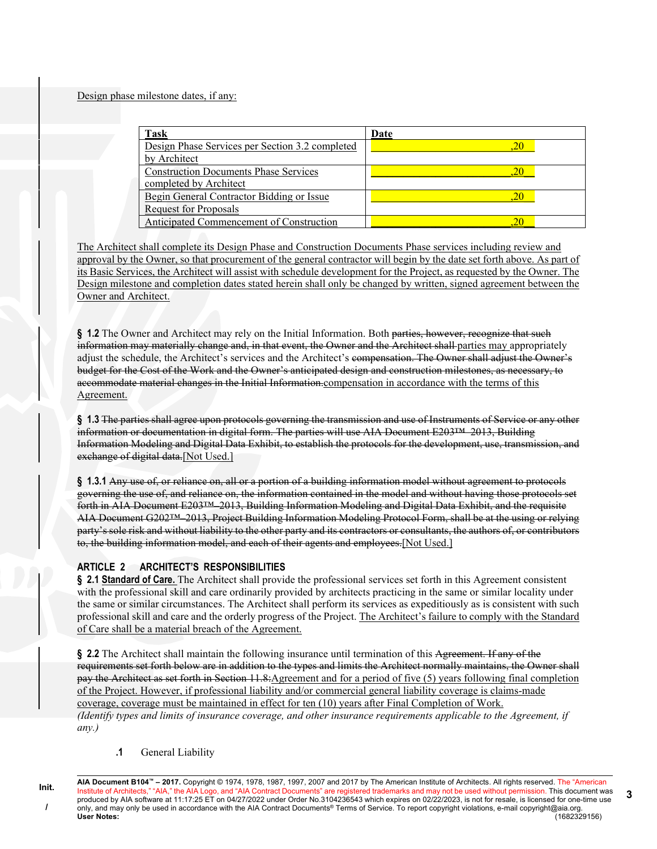Design phase milestone dates, if any:

| Task                                            | Date |
|-------------------------------------------------|------|
| Design Phase Services per Section 3.2 completed |      |
| by Architect                                    |      |
| <b>Construction Documents Phase Services</b>    |      |
| completed by Architect                          |      |
| Begin General Contractor Bidding or Issue       |      |
| <b>Request for Proposals</b>                    |      |
| Anticipated Commencement of Construction        |      |

The Architect shall complete its Design Phase and Construction Documents Phase services including review and approval by the Owner, so that procurement of the general contractor will begin by the date set forth above. As part of its Basic Services, the Architect will assist with schedule development for the Project, as requested by the Owner. The Design milestone and completion dates stated herein shall only be changed by written, signed agreement between the Owner and Architect.

§ 1.2 The Owner and Architect may rely on the Initial Information. Both parties, however, recognize that such information may materially change and, in that event, the Owner and the Architect shall parties may appropriately adjust the schedule, the Architect's services and the Architect's compensation. The Owner shall adjust the Owner's budget for the Cost of the Work and the Owner's anticipated design and construction milestones, as necessary, to accommodate material changes in the Initial Information.compensation in accordance with the terms of this Agreement.

§ 1.3 The parties shall agree upon protocols governing the transmission and use of Instruments of Service or any other information or documentation in digital form. The parties will use AIA Document E203™–2013, Building Information Modeling and Digital Data Exhibit, to establish the protocols for the development, use, transmission, and exchange of digital data.[Not Used.]

§ 1.3.1 Any use of, or reliance on, all or a portion of a building information model without agreement to protocols governing the use of, and reliance on, the information contained in the model and without having those protocols set forth in AIA Document E203™–2013, Building Information Modeling and Digital Data Exhibit, and the requisite AIA Document G202™–2013, Project Building Information Modeling Protocol Form, shall be at the using or relying party's sole risk and without liability to the other party and its contractors or consultants, the authors of, or contributors to, the building information model, and each of their agents and employees.[Not Used.]

# ARTICLE 2 ARCHITECT'S RESPONSIBILITIES

§ 2.1 Standard of Care. The Architect shall provide the professional services set forth in this Agreement consistent with the professional skill and care ordinarily provided by architects practicing in the same or similar locality under the same or similar circumstances. The Architect shall perform its services as expeditiously as is consistent with such professional skill and care and the orderly progress of the Project. The Architect's failure to comply with the Standard of Care shall be a material breach of the Agreement.

§ 2.2 The Architect shall maintain the following insurance until termination of this Agreement. If any of the requirements set forth below are in addition to the types and limits the Architect normally maintains, the Owner shall pay the Architect as set forth in Section 11.8:Agreement and for a period of five (5) years following final completion of the Project. However, if professional liability and/or commercial general liability coverage is claims-made coverage, coverage must be maintained in effect for ten (10) years after Final Completion of Work. (Identify types and limits of insurance coverage, and other insurance requirements applicable to the Agreement, if any.)

.1 General Liability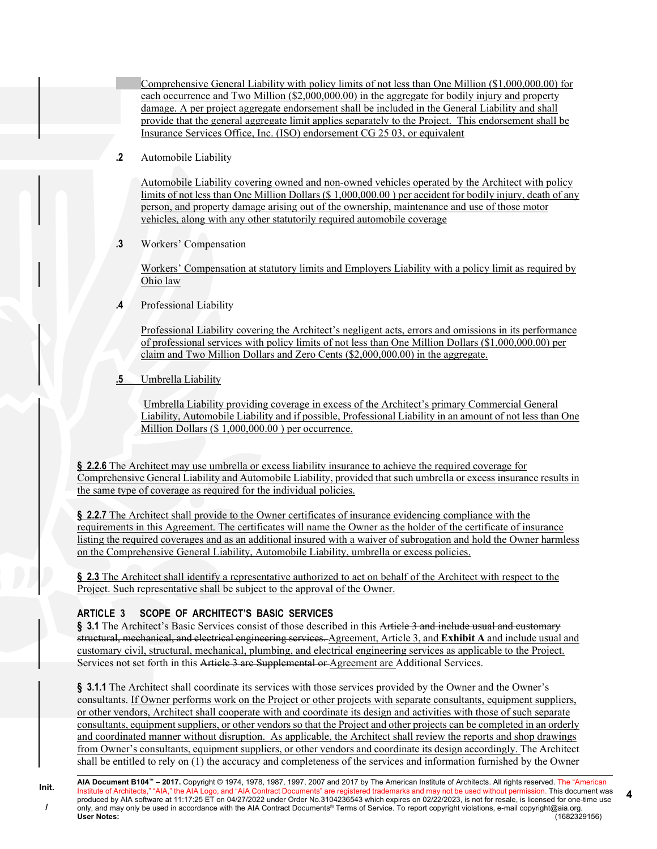Comprehensive General Liability with policy limits of not less than One Million (\$1,000,000.00) for each occurrence and Two Million (\$2,000,000.00) in the aggregate for bodily injury and property damage. A per project aggregate endorsement shall be included in the General Liability and shall provide that the general aggregate limit applies separately to the Project. This endorsement shall be Insurance Services Office, Inc. (ISO) endorsement CG 25 03, or equivalent

.2 Automobile Liability

Automobile Liability covering owned and non-owned vehicles operated by the Architect with policy limits of not less than One Million Dollars (\$ 1,000,000.00 ) per accident for bodily injury, death of any person, and property damage arising out of the ownership, maintenance and use of those motor vehicles, along with any other statutorily required automobile coverage

.3 Workers' Compensation

Workers' Compensation at statutory limits and Employers Liability with a policy limit as required by Ohio law

.4 Professional Liability

Professional Liability covering the Architect's negligent acts, errors and omissions in its performance of professional services with policy limits of not less than One Million Dollars (\$1,000,000.00) per claim and Two Million Dollars and Zero Cents (\$2,000,000.00) in the aggregate.

.5 Umbrella Liability

 Umbrella Liability providing coverage in excess of the Architect's primary Commercial General Liability, Automobile Liability and if possible, Professional Liability in an amount of not less than One Million Dollars (\$ 1,000,000.00 ) per occurrence.

§ 2.2.6 The Architect may use umbrella or excess liability insurance to achieve the required coverage for Comprehensive General Liability and Automobile Liability, provided that such umbrella or excess insurance results in the same type of coverage as required for the individual policies.

§ 2.2.7 The Architect shall provide to the Owner certificates of insurance evidencing compliance with the requirements in this Agreement. The certificates will name the Owner as the holder of the certificate of insurance listing the required coverages and as an additional insured with a waiver of subrogation and hold the Owner harmless on the Comprehensive General Liability, Automobile Liability, umbrella or excess policies.

§ 2.3 The Architect shall identify a representative authorized to act on behalf of the Architect with respect to the Project. Such representative shall be subject to the approval of the Owner.

# ARTICLE 3 SCOPE OF ARCHITECT'S BASIC SERVICES

§ 3.1 The Architect's Basic Services consist of those described in this Article 3 and include usual and customary structural, mechanical, and electrical engineering services. Agreement, Article 3, and Exhibit A and include usual and customary civil, structural, mechanical, plumbing, and electrical engineering services as applicable to the Project. Services not set forth in this Article 3 are Supplemental or Agreement are Additional Services.

§ 3.1.1 The Architect shall coordinate its services with those services provided by the Owner and the Owner's consultants. If Owner performs work on the Project or other projects with separate consultants, equipment suppliers, or other vendors, Architect shall cooperate with and coordinate its design and activities with those of such separate consultants, equipment suppliers, or other vendors so that the Project and other projects can be completed in an orderly and coordinated manner without disruption. As applicable, the Architect shall review the reports and shop drawings from Owner's consultants, equipment suppliers, or other vendors and coordinate its design accordingly. The Architect shall be entitled to rely on (1) the accuracy and completeness of the services and information furnished by the Owner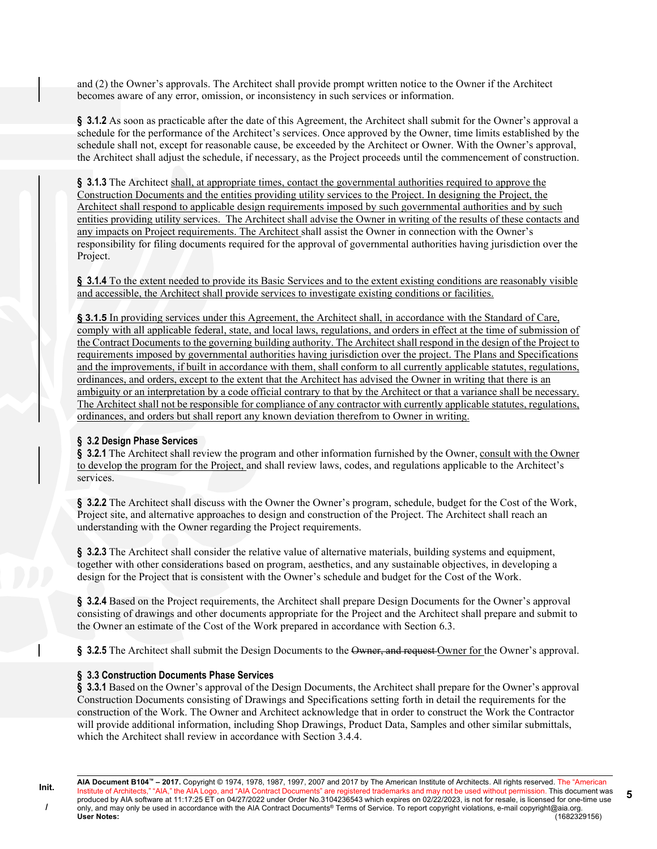and (2) the Owner's approvals. The Architect shall provide prompt written notice to the Owner if the Architect becomes aware of any error, omission, or inconsistency in such services or information.

§ 3.1.2 As soon as practicable after the date of this Agreement, the Architect shall submit for the Owner's approval a schedule for the performance of the Architect's services. Once approved by the Owner, time limits established by the schedule shall not, except for reasonable cause, be exceeded by the Architect or Owner. With the Owner's approval, the Architect shall adjust the schedule, if necessary, as the Project proceeds until the commencement of construction.

§ 3.1.3 The Architect shall, at appropriate times, contact the governmental authorities required to approve the Construction Documents and the entities providing utility services to the Project. In designing the Project, the Architect shall respond to applicable design requirements imposed by such governmental authorities and by such entities providing utility services. The Architect shall advise the Owner in writing of the results of these contacts and any impacts on Project requirements. The Architect shall assist the Owner in connection with the Owner's responsibility for filing documents required for the approval of governmental authorities having jurisdiction over the Project.

§ 3.1.4 To the extent needed to provide its Basic Services and to the extent existing conditions are reasonably visible and accessible, the Architect shall provide services to investigate existing conditions or facilities.

§ 3.1.5 In providing services under this Agreement, the Architect shall, in accordance with the Standard of Care, comply with all applicable federal, state, and local laws, regulations, and orders in effect at the time of submission of the Contract Documents to the governing building authority. The Architect shall respond in the design of the Project to requirements imposed by governmental authorities having jurisdiction over the project. The Plans and Specifications and the improvements, if built in accordance with them, shall conform to all currently applicable statutes, regulations, ordinances, and orders, except to the extent that the Architect has advised the Owner in writing that there is an ambiguity or an interpretation by a code official contrary to that by the Architect or that a variance shall be necessary. The Architect shall not be responsible for compliance of any contractor with currently applicable statutes, regulations, ordinances, and orders but shall report any known deviation therefrom to Owner in writing.

#### § 3.2 Design Phase Services

§ 3.2.1 The Architect shall review the program and other information furnished by the Owner, consult with the Owner to develop the program for the Project, and shall review laws, codes, and regulations applicable to the Architect's services.

§ 3.2.2 The Architect shall discuss with the Owner the Owner's program, schedule, budget for the Cost of the Work, Project site, and alternative approaches to design and construction of the Project. The Architect shall reach an understanding with the Owner regarding the Project requirements.

§ 3.2.3 The Architect shall consider the relative value of alternative materials, building systems and equipment, together with other considerations based on program, aesthetics, and any sustainable objectives, in developing a design for the Project that is consistent with the Owner's schedule and budget for the Cost of the Work.

§ 3.2.4 Based on the Project requirements, the Architect shall prepare Design Documents for the Owner's approval consisting of drawings and other documents appropriate for the Project and the Architect shall prepare and submit to the Owner an estimate of the Cost of the Work prepared in accordance with Section 6.3.

§ 3.2.5 The Architect shall submit the Design Documents to the Owner, and request Owner for the Owner's approval.

# § 3.3 Construction Documents Phase Services

Init. /

§ 3.3.1 Based on the Owner's approval of the Design Documents, the Architect shall prepare for the Owner's approval Construction Documents consisting of Drawings and Specifications setting forth in detail the requirements for the construction of the Work. The Owner and Architect acknowledge that in order to construct the Work the Contractor will provide additional information, including Shop Drawings, Product Data, Samples and other similar submittals, which the Architect shall review in accordance with Section 3.4.4.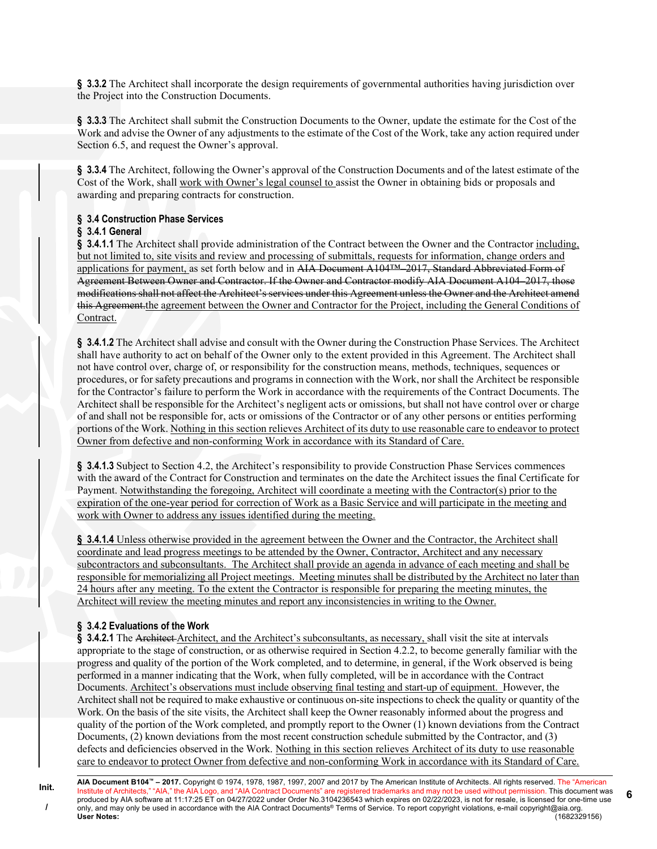§ 3.3.2 The Architect shall incorporate the design requirements of governmental authorities having jurisdiction over the Project into the Construction Documents.

§ 3.3.3 The Architect shall submit the Construction Documents to the Owner, update the estimate for the Cost of the Work and advise the Owner of any adjustments to the estimate of the Cost of the Work, take any action required under Section 6.5, and request the Owner's approval.

§ 3.3.4 The Architect, following the Owner's approval of the Construction Documents and of the latest estimate of the Cost of the Work, shall work with Owner's legal counsel to assist the Owner in obtaining bids or proposals and awarding and preparing contracts for construction.

# § 3.4 Construction Phase Services

#### § 3.4.1 General

§ 3.4.1.1 The Architect shall provide administration of the Contract between the Owner and the Contractor including, but not limited to, site visits and review and processing of submittals, requests for information, change orders and applications for payment, as set forth below and in AIA Document A104<sup>TM</sup>-2017, Standard Abbreviated Form of Agreement Between Owner and Contractor. If the Owner and Contractor modify AIA Document A104–2017, those modifications shall not affect the Architect's services under this Agreement unless the Owner and the Architect amend this Agreement.the agreement between the Owner and Contractor for the Project, including the General Conditions of Contract.

§ 3.4.1.2 The Architect shall advise and consult with the Owner during the Construction Phase Services. The Architect shall have authority to act on behalf of the Owner only to the extent provided in this Agreement. The Architect shall not have control over, charge of, or responsibility for the construction means, methods, techniques, sequences or procedures, or for safety precautions and programs in connection with the Work, nor shall the Architect be responsible for the Contractor's failure to perform the Work in accordance with the requirements of the Contract Documents. The Architect shall be responsible for the Architect's negligent acts or omissions, but shall not have control over or charge of and shall not be responsible for, acts or omissions of the Contractor or of any other persons or entities performing portions of the Work. Nothing in this section relieves Architect of its duty to use reasonable care to endeavor to protect Owner from defective and non-conforming Work in accordance with its Standard of Care.

§ 3.4.1.3 Subject to Section 4.2, the Architect's responsibility to provide Construction Phase Services commences with the award of the Contract for Construction and terminates on the date the Architect issues the final Certificate for Payment. Notwithstanding the foregoing, Architect will coordinate a meeting with the Contractor(s) prior to the expiration of the one-year period for correction of Work as a Basic Service and will participate in the meeting and work with Owner to address any issues identified during the meeting.

§ 3.4.1.4 Unless otherwise provided in the agreement between the Owner and the Contractor, the Architect shall coordinate and lead progress meetings to be attended by the Owner, Contractor, Architect and any necessary subcontractors and subconsultants. The Architect shall provide an agenda in advance of each meeting and shall be responsible for memorializing all Project meetings. Meeting minutes shall be distributed by the Architect no later than 24 hours after any meeting. To the extent the Contractor is responsible for preparing the meeting minutes, the Architect will review the meeting minutes and report any inconsistencies in writing to the Owner.

# § 3.4.2 Evaluations of the Work

§ 3.4.2.1 The Architect Architect, and the Architect's subconsultants, as necessary, shall visit the site at intervals appropriate to the stage of construction, or as otherwise required in Section 4.2.2, to become generally familiar with the progress and quality of the portion of the Work completed, and to determine, in general, if the Work observed is being performed in a manner indicating that the Work, when fully completed, will be in accordance with the Contract Documents. Architect's observations must include observing final testing and start-up of equipment. However, the Architect shall not be required to make exhaustive or continuous on-site inspections to check the quality or quantity of the Work. On the basis of the site visits, the Architect shall keep the Owner reasonably informed about the progress and quality of the portion of the Work completed, and promptly report to the Owner (1) known deviations from the Contract Documents, (2) known deviations from the most recent construction schedule submitted by the Contractor, and (3) defects and deficiencies observed in the Work. Nothing in this section relieves Architect of its duty to use reasonable care to endeavor to protect Owner from defective and non-conforming Work in accordance with its Standard of Care.

AIA Document B104™ – 2017. Copyright © 1974, 1978, 1987, 1997, 2007 and 2017 by The American Institute of Architects. All rights reserved. The "American Institute of Architects," "AIA," the AIA Logo, and "AIA Contract Documents" are registered trademarks and may not be used without permission. This document was produced by AIA software at 11:17:25 ET on 04/27/2022 under Order No.3104236543 which expires on 02/22/2023, is not for resale, is licensed for one-time use only, and may only be used in accordance with the AIA Contract Documents® Terms of Service. To report copyright violations, e-mail copyright@aia.org.<br>User Notes: (1682329156) User Notes: (1682329156)

6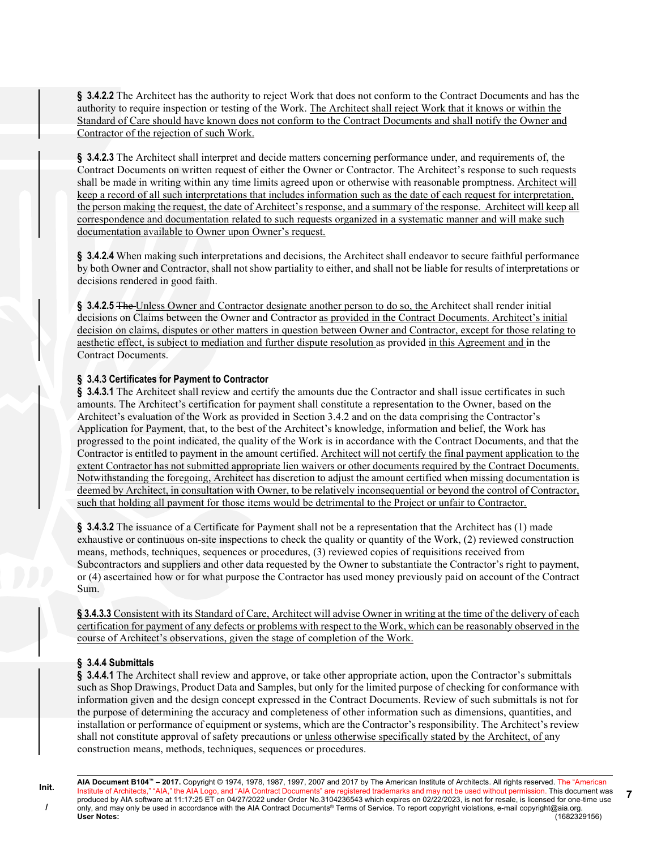§ 3.4.2.2 The Architect has the authority to reject Work that does not conform to the Contract Documents and has the authority to require inspection or testing of the Work. The Architect shall reject Work that it knows or within the Standard of Care should have known does not conform to the Contract Documents and shall notify the Owner and Contractor of the rejection of such Work.

§ 3.4.2.3 The Architect shall interpret and decide matters concerning performance under, and requirements of, the Contract Documents on written request of either the Owner or Contractor. The Architect's response to such requests shall be made in writing within any time limits agreed upon or otherwise with reasonable promptness. Architect will keep a record of all such interpretations that includes information such as the date of each request for interpretation, the person making the request, the date of Architect's response, and a summary of the response. Architect will keep all correspondence and documentation related to such requests organized in a systematic manner and will make such documentation available to Owner upon Owner's request.

§ 3.4.2.4 When making such interpretations and decisions, the Architect shall endeavor to secure faithful performance by both Owner and Contractor, shall not show partiality to either, and shall not be liable for results of interpretations or decisions rendered in good faith.

§ 3.4.2.5 The Unless Owner and Contractor designate another person to do so, the Architect shall render initial decisions on Claims between the Owner and Contractor as provided in the Contract Documents. Architect's initial decision on claims, disputes or other matters in question between Owner and Contractor, except for those relating to aesthetic effect, is subject to mediation and further dispute resolution as provided in this Agreement and in the Contract Documents.

### § 3.4.3 Certificates for Payment to Contractor

§ 3.4.3.1 The Architect shall review and certify the amounts due the Contractor and shall issue certificates in such amounts. The Architect's certification for payment shall constitute a representation to the Owner, based on the Architect's evaluation of the Work as provided in Section 3.4.2 and on the data comprising the Contractor's Application for Payment, that, to the best of the Architect's knowledge, information and belief, the Work has progressed to the point indicated, the quality of the Work is in accordance with the Contract Documents, and that the Contractor is entitled to payment in the amount certified. Architect will not certify the final payment application to the extent Contractor has not submitted appropriate lien waivers or other documents required by the Contract Documents. Notwithstanding the foregoing, Architect has discretion to adjust the amount certified when missing documentation is deemed by Architect, in consultation with Owner, to be relatively inconsequential or beyond the control of Contractor, such that holding all payment for those items would be detrimental to the Project or unfair to Contractor.

§ 3.4.3.2 The issuance of a Certificate for Payment shall not be a representation that the Architect has (1) made exhaustive or continuous on-site inspections to check the quality or quantity of the Work, (2) reviewed construction means, methods, techniques, sequences or procedures, (3) reviewed copies of requisitions received from Subcontractors and suppliers and other data requested by the Owner to substantiate the Contractor's right to payment, or (4) ascertained how or for what purpose the Contractor has used money previously paid on account of the Contract Sum.

§ 3.4.3.3 Consistent with its Standard of Care, Architect will advise Owner in writing at the time of the delivery of each certification for payment of any defects or problems with respect to the Work, which can be reasonably observed in the course of Architect's observations, given the stage of completion of the Work.

# § 3.4.4 Submittals

§ 3.4.4.1 The Architect shall review and approve, or take other appropriate action, upon the Contractor's submittals such as Shop Drawings, Product Data and Samples, but only for the limited purpose of checking for conformance with information given and the design concept expressed in the Contract Documents. Review of such submittals is not for the purpose of determining the accuracy and completeness of other information such as dimensions, quantities, and installation or performance of equipment or systems, which are the Contractor's responsibility. The Architect's review shall not constitute approval of safety precautions or unless otherwise specifically stated by the Architect, of any construction means, methods, techniques, sequences or procedures.

7

AIA Document B104™ – 2017. Copyright © 1974, 1978, 1987, 1997, 2007 and 2017 by The American Institute of Architects. All rights reserved. The "American Institute of Architects," "AIA," the AIA Logo, and "AIA Contract Documents" are registered trademarks and may not be used without permission. This document was produced by AIA software at 11:17:25 ET on 04/27/2022 under Order No.3104236543 which expires on 02/22/2023, is not for resale, is licensed for one-time use only, and may only be used in accordance with the AIA Contract Documents® Terms of Service. To report copyright violations, e-mail copyright@aia.org.<br>User Notes: (1682329156) User Notes: (1682329156)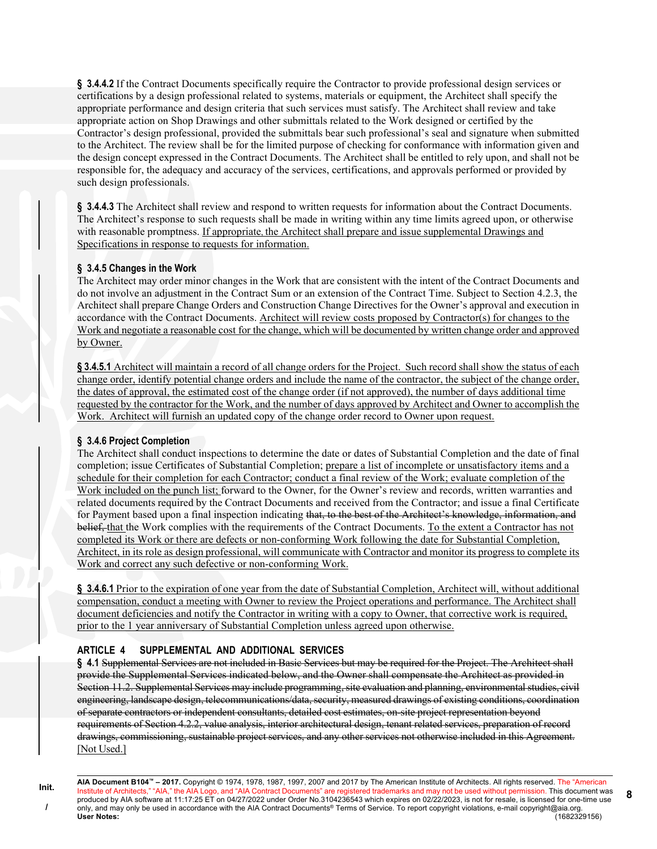§ 3.4.4.2 If the Contract Documents specifically require the Contractor to provide professional design services or certifications by a design professional related to systems, materials or equipment, the Architect shall specify the appropriate performance and design criteria that such services must satisfy. The Architect shall review and take appropriate action on Shop Drawings and other submittals related to the Work designed or certified by the Contractor's design professional, provided the submittals bear such professional's seal and signature when submitted to the Architect. The review shall be for the limited purpose of checking for conformance with information given and the design concept expressed in the Contract Documents. The Architect shall be entitled to rely upon, and shall not be responsible for, the adequacy and accuracy of the services, certifications, and approvals performed or provided by such design professionals.

§ 3.4.4.3 The Architect shall review and respond to written requests for information about the Contract Documents. The Architect's response to such requests shall be made in writing within any time limits agreed upon, or otherwise with reasonable promptness. If appropriate, the Architect shall prepare and issue supplemental Drawings and Specifications in response to requests for information.

#### § 3.4.5 Changes in the Work

The Architect may order minor changes in the Work that are consistent with the intent of the Contract Documents and do not involve an adjustment in the Contract Sum or an extension of the Contract Time. Subject to Section 4.2.3, the Architect shall prepare Change Orders and Construction Change Directives for the Owner's approval and execution in accordance with the Contract Documents. Architect will review costs proposed by Contractor(s) for changes to the Work and negotiate a reasonable cost for the change, which will be documented by written change order and approved by Owner.

§ 3.4.5.1 Architect will maintain a record of all change orders for the Project. Such record shall show the status of each change order, identify potential change orders and include the name of the contractor, the subject of the change order, the dates of approval, the estimated cost of the change order (if not approved), the number of days additional time requested by the contractor for the Work, and the number of days approved by Architect and Owner to accomplish the Work. Architect will furnish an updated copy of the change order record to Owner upon request.

# § 3.4.6 Project Completion

The Architect shall conduct inspections to determine the date or dates of Substantial Completion and the date of final completion; issue Certificates of Substantial Completion; prepare a list of incomplete or unsatisfactory items and a schedule for their completion for each Contractor; conduct a final review of the Work; evaluate completion of the Work included on the punch list; forward to the Owner, for the Owner's review and records, written warranties and related documents required by the Contract Documents and received from the Contractor; and issue a final Certificate for Payment based upon a final inspection indicating that, to the best of the Architect's knowledge, information, and belief, that the Work complies with the requirements of the Contract Documents. To the extent a Contractor has not completed its Work or there are defects or non-conforming Work following the date for Substantial Completion, Architect, in its role as design professional, will communicate with Contractor and monitor its progress to complete its Work and correct any such defective or non-conforming Work.

§ 3.4.6.1 Prior to the expiration of one year from the date of Substantial Completion, Architect will, without additional compensation, conduct a meeting with Owner to review the Project operations and performance. The Architect shall document deficiencies and notify the Contractor in writing with a copy to Owner, that corrective work is required, prior to the 1 year anniversary of Substantial Completion unless agreed upon otherwise.

# ARTICLE 4 SUPPLEMENTAL AND ADDITIONAL SERVICES

§ 4.1 Supplemental Services are not included in Basic Services but may be required for the Project. The Architect shall provide the Supplemental Services indicated below, and the Owner shall compensate the Architect as provided in Section 11.2. Supplemental Services may include programming, site evaluation and planning, environmental studies, civil engineering, landscape design, telecommunications/data, security, measured drawings of existing conditions, coordination of separate contractors or independent consultants, detailed cost estimates, on-site project representation beyond requirements of Section 4.2.2, value analysis, interior architectural design, tenant related services, preparation of record drawings, commissioning, sustainable project services, and any other services not otherwise included in this Agreement. [Not Used.]

AIA Document B104™ – 2017. Copyright © 1974, 1978, 1987, 1997, 2007 and 2017 by The American Institute of Architects. All rights reserved. The "American Institute of Architects," "AIA," the AIA Logo, and "AIA Contract Documents" are registered trademarks and may not be used without permission. This document was produced by AIA software at 11:17:25 ET on 04/27/2022 under Order No.3104236543 which expires on 02/22/2023, is not for resale, is licensed for one-time use only, and may only be used in accordance with the AIA Contract Documents® Terms of Service. To report copyright violations, e-mail copyright@aia.org. User Notes: (1682329156) 8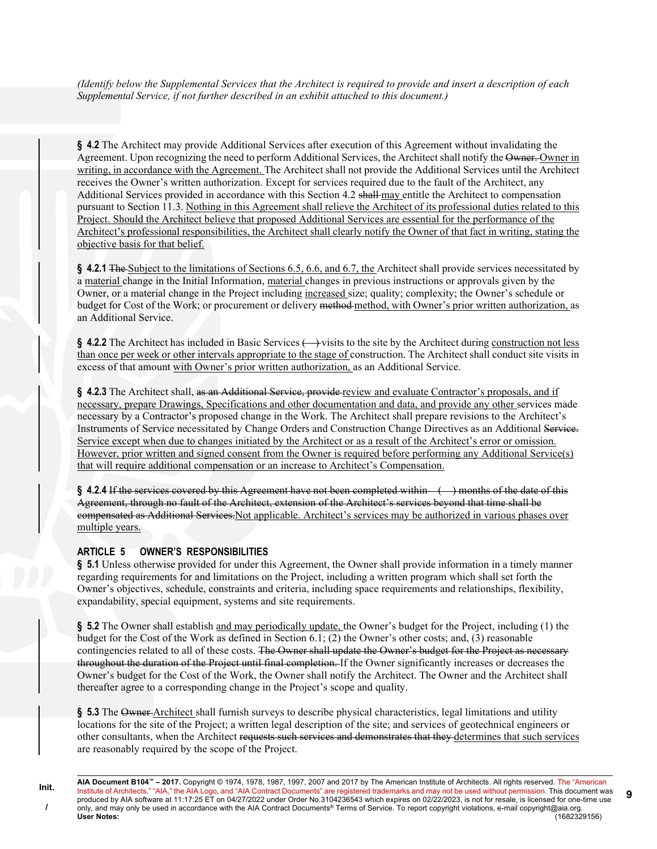(Identify below the Supplemental Services that the Architect is required to provide and insert a description of each Supplemental Service, if not further described in an exhibit attached to this document.)

§ 4.2 The Architect may provide Additional Services after execution of this Agreement without invalidating the Agreement. Upon recognizing the need to perform Additional Services, the Architect shall notify the Owner. Owner in writing, in accordance with the Agreement. The Architect shall not provide the Additional Services until the Architect receives the Owner's written authorization. Except for services required due to the fault of the Architect, any Additional Services provided in accordance with this Section 4.2 shall may entitle the Architect to compensation pursuant to Section 11.3. Nothing in this Agreement shall relieve the Architect of its professional duties related to this Project. Should the Architect believe that proposed Additional Services are essential for the performance of the Architect's professional responsibilities, the Architect shall clearly notify the Owner of that fact in writing, stating the objective basis for that belief.

§ 4.2.1 The Subject to the limitations of Sections 6.5, 6.6, and 6.7, the Architect shall provide services necessitated by a material change in the Initial Information, material changes in previous instructions or approvals given by the Owner, or a material change in the Project including increased size; quality; complexity; the Owner's schedule or budget for Cost of the Work; or procurement or delivery method-method, with Owner's prior written authorization, as an Additional Service.

 $§$  4.2.2 The Architect has included in Basic Services  $\leftrightarrow$  visits to the site by the Architect during construction not less than once per week or other intervals appropriate to the stage of construction. The Architect shall conduct site visits in excess of that amount with Owner's prior written authorization, as an Additional Service.

§ 4.2.3 The Architect shall, as an Additional Service, provide review and evaluate Contractor's proposals, and if necessary, prepare Drawings, Specifications and other documentation and data, and provide any other services made necessary by a Contractor's proposed change in the Work. The Architect shall prepare revisions to the Architect's Instruments of Service necessitated by Change Orders and Construction Change Directives as an Additional Service. Service except when due to changes initiated by the Architect or as a result of the Architect's error or omission. However, prior written and signed consent from the Owner is required before performing any Additional Service(s) that will require additional compensation or an increase to Architect's Compensation.

§ 4.2.4 If the services covered by this Agreement have not been completed within () months of the date of this Agreement, through no fault of the Architect, extension of the Architect's services beyond that time shall be compensated as Additional Services.Not applicable. Architect's services may be authorized in various phases over multiple years.

#### ARTICLE 5 OWNER'S RESPONSIBILITIES

§ 5.1 Unless otherwise provided for under this Agreement, the Owner shall provide information in a timely manner regarding requirements for and limitations on the Project, including a written program which shall set forth the Owner's objectives, schedule, constraints and criteria, including space requirements and relationships, flexibility, expandability, special equipment, systems and site requirements.

§ 5.2 The Owner shall establish and may periodically update, the Owner's budget for the Project, including (1) the budget for the Cost of the Work as defined in Section 6.1; (2) the Owner's other costs; and, (3) reasonable contingencies related to all of these costs. The Owner shall update the Owner's budget for the Project as necessary throughout the duration of the Project until final completion. If the Owner significantly increases or decreases the Owner's budget for the Cost of the Work, the Owner shall notify the Architect. The Owner and the Architect shall thereafter agree to a corresponding change in the Project's scope and quality.

§ 5.3 The Owner-Architect shall furnish surveys to describe physical characteristics, legal limitations and utility locations for the site of the Project; a written legal description of the site; and services of geotechnical engineers or other consultants, when the Architect requests such services and demonstrates that they determines that such services are reasonably required by the scope of the Project.

AIA Document B104™ – 2017. Copyright © 1974, 1978, 1987, 1997, 2007 and 2017 by The American Institute of Architects. All rights reserved. The "American Institute of Architects," "AIA," the AIA Logo, and "AIA Contract Documents" are registered trademarks and may not be used without permission. This document was produced by AIA software at 11:17:25 ET on 04/27/2022 under Order No.3104236543 which expires on 02/22/2023, is not for resale, is licensed for one-time use only, and may only be used in accordance with the AIA Contract Documents® Terms of Service. To report copyright violations, e-mail copyright@aia.org.<br>User Notes: (1682329156) User Notes: (1682329156)

9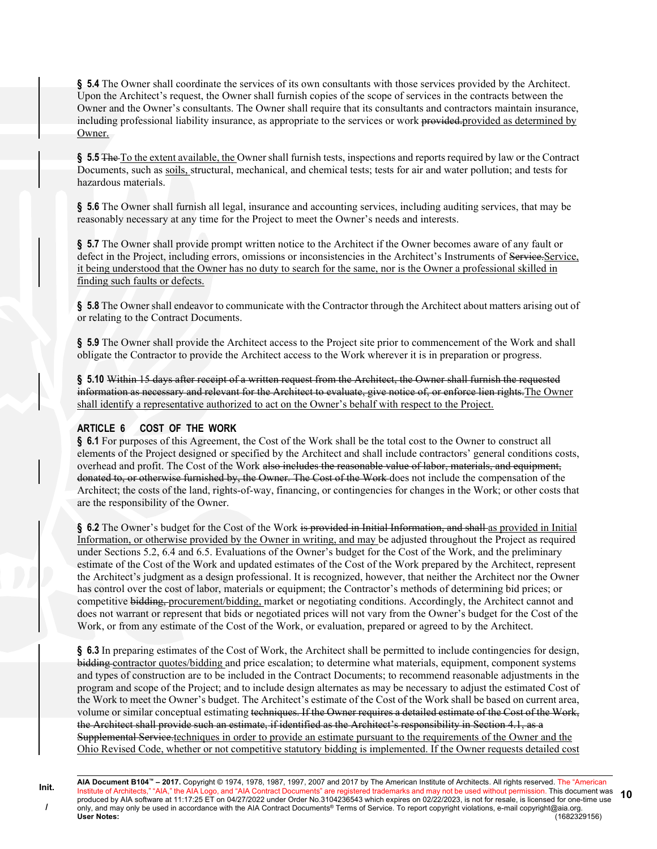§ 5.4 The Owner shall coordinate the services of its own consultants with those services provided by the Architect. Upon the Architect's request, the Owner shall furnish copies of the scope of services in the contracts between the Owner and the Owner's consultants. The Owner shall require that its consultants and contractors maintain insurance, including professional liability insurance, as appropriate to the services or work provided.provided as determined by Owner.

§ 5.5 The To the extent available, the Owner shall furnish tests, inspections and reports required by law or the Contract Documents, such as soils, structural, mechanical, and chemical tests; tests for air and water pollution; and tests for hazardous materials.

§ 5.6 The Owner shall furnish all legal, insurance and accounting services, including auditing services, that may be reasonably necessary at any time for the Project to meet the Owner's needs and interests.

§ 5.7 The Owner shall provide prompt written notice to the Architect if the Owner becomes aware of any fault or defect in the Project, including errors, omissions or inconsistencies in the Architect's Instruments of Service. it being understood that the Owner has no duty to search for the same, nor is the Owner a professional skilled in finding such faults or defects.

§ 5.8 The Owner shall endeavor to communicate with the Contractor through the Architect about matters arising out of or relating to the Contract Documents.

§ 5.9 The Owner shall provide the Architect access to the Project site prior to commencement of the Work and shall obligate the Contractor to provide the Architect access to the Work wherever it is in preparation or progress.

§ 5.10 Within 15 days after receipt of a written request from the Architect, the Owner shall furnish the requested information as necessary and relevant for the Architect to evaluate, give notice of, or enforce lien rights.The Owner shall identify a representative authorized to act on the Owner's behalf with respect to the Project.

#### ARTICLE 6 COST OF THE WORK

§ 6.1 For purposes of this Agreement, the Cost of the Work shall be the total cost to the Owner to construct all elements of the Project designed or specified by the Architect and shall include contractors' general conditions costs, overhead and profit. The Cost of the Work also includes the reasonable value of labor, materials, and equipment, donated to, or otherwise furnished by, the Owner. The Cost of the Work does not include the compensation of the Architect; the costs of the land, rights-of-way, financing, or contingencies for changes in the Work; or other costs that are the responsibility of the Owner.

§ 6.2 The Owner's budget for the Cost of the Work is provided in Initial Information, and shall as provided in Initial Information, or otherwise provided by the Owner in writing, and may be adjusted throughout the Project as required under Sections 5.2, 6.4 and 6.5. Evaluations of the Owner's budget for the Cost of the Work, and the preliminary estimate of the Cost of the Work and updated estimates of the Cost of the Work prepared by the Architect, represent the Architect's judgment as a design professional. It is recognized, however, that neither the Architect nor the Owner has control over the cost of labor, materials or equipment; the Contractor's methods of determining bid prices; or competitive bidding, procurement/bidding, market or negotiating conditions. Accordingly, the Architect cannot and does not warrant or represent that bids or negotiated prices will not vary from the Owner's budget for the Cost of the Work, or from any estimate of the Cost of the Work, or evaluation, prepared or agreed to by the Architect.

§ 6.3 In preparing estimates of the Cost of Work, the Architect shall be permitted to include contingencies for design, bidding contractor quotes/bidding and price escalation; to determine what materials, equipment, component systems and types of construction are to be included in the Contract Documents; to recommend reasonable adjustments in the program and scope of the Project; and to include design alternates as may be necessary to adjust the estimated Cost of the Work to meet the Owner's budget. The Architect's estimate of the Cost of the Work shall be based on current area, volume or similar conceptual estimating techniques. If the Owner requires a detailed estimate of the Cost of the Work, the Architect shall provide such an estimate, if identified as the Architect's responsibility in Section 4.1, as a Supplemental Service.techniques in order to provide an estimate pursuant to the requirements of the Owner and the Ohio Revised Code, whether or not competitive statutory bidding is implemented. If the Owner requests detailed cost

Init. /

AIA Document B104™ – 2017. Copyright © 1974, 1978, 1987, 1997, 2007 and 2017 by The American Institute of Architects. All rights reserved. The "American Institute of Architects," "AIA," the AIA Logo, and "AIA Contract Documents" are registered trademarks and may not be used without permission. This document was produced by AIA software at 11:17:25 ET on 04/27/2022 under Order No.3104236543 which expires on 02/22/2023, is not for resale, is licensed for one-time use only, and may only be used in accordance with the AIA Contract Documents® Terms of Service. To report copyright violations, e-mail copyright@aia.org.<br>User Notes: (1682329156) User Notes: (1682329156) 10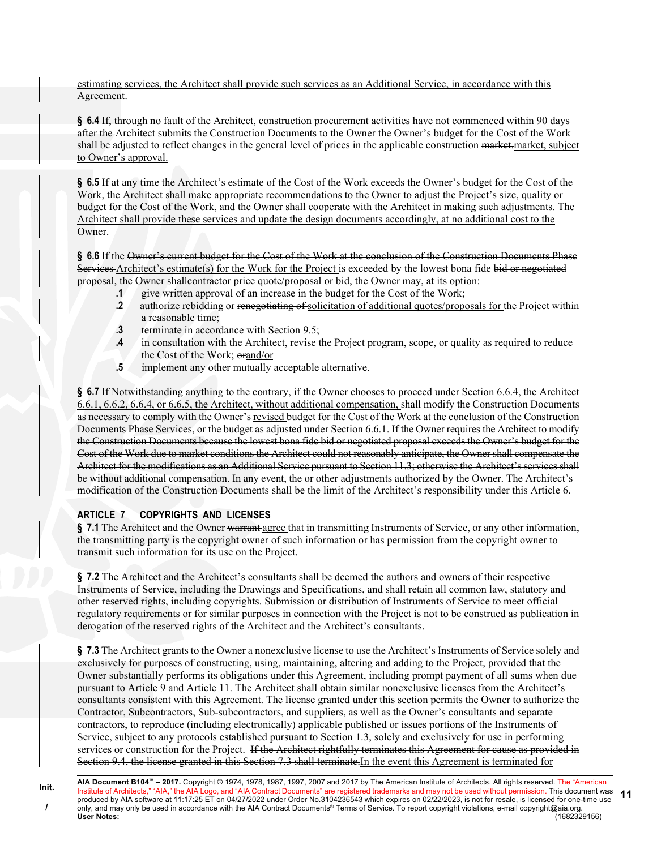estimating services, the Architect shall provide such services as an Additional Service, in accordance with this Agreement.

§ 6.4 If, through no fault of the Architect, construction procurement activities have not commenced within 90 days after the Architect submits the Construction Documents to the Owner the Owner's budget for the Cost of the Work shall be adjusted to reflect changes in the general level of prices in the applicable construction market.market, subject to Owner's approval.

§ 6.5 If at any time the Architect's estimate of the Cost of the Work exceeds the Owner's budget for the Cost of the Work, the Architect shall make appropriate recommendations to the Owner to adjust the Project's size, quality or budget for the Cost of the Work, and the Owner shall cooperate with the Architect in making such adjustments. The Architect shall provide these services and update the design documents accordingly, at no additional cost to the Owner.

§ 6.6 If the Owner's current budget for the Cost of the Work at the conclusion of the Construction Documents Phase Services Architect's estimate(s) for the Work for the Project is exceeded by the lowest bona fide bid or negotiated proposal, the Owner shallcontractor price quote/proposal or bid, the Owner may, at its option:

- .1 give written approval of an increase in the budget for the Cost of the Work;
- .2 authorize rebidding or renegotiating of solicitation of additional quotes/proposals for the Project within a reasonable time;
- .3 terminate in accordance with Section 9.5;
- .4 in consultation with the Architect, revise the Project program, scope, or quality as required to reduce the Cost of the Work; orand/or
- .5 implement any other mutually acceptable alternative.

§ 6.7 If Notwithstanding anything to the contrary, if the Owner chooses to proceed under Section 6.6.4, the Architect 6.6.1, 6.6.2, 6.6.4, or 6.6.5, the Architect, without additional compensation, shall modify the Construction Documents as necessary to comply with the Owner's revised budget for the Cost of the Work at the conclusion of the Construction Documents Phase Services, or the budget as adjusted under Section 6.6.1. If the Owner requires the Architect to modify the Construction Documents because the lowest bona fide bid or negotiated proposal exceeds the Owner's budget for the Cost of the Work due to market conditions the Architect could not reasonably anticipate, the Owner shall compensate the Architect for the modifications as an Additional Service pursuant to Section 11.3; otherwise the Architect's services shall be without additional compensation. In any event, the or other adjustments authorized by the Owner. The Architect's modification of the Construction Documents shall be the limit of the Architect's responsibility under this Article 6.

#### ARTICLE 7 COPYRIGHTS AND LICENSES

§ 7.1 The Architect and the Owner warrant agree that in transmitting Instruments of Service, or any other information, the transmitting party is the copyright owner of such information or has permission from the copyright owner to transmit such information for its use on the Project.

§ 7.2 The Architect and the Architect's consultants shall be deemed the authors and owners of their respective Instruments of Service, including the Drawings and Specifications, and shall retain all common law, statutory and other reserved rights, including copyrights. Submission or distribution of Instruments of Service to meet official regulatory requirements or for similar purposes in connection with the Project is not to be construed as publication in derogation of the reserved rights of the Architect and the Architect's consultants.

§ 7.3 The Architect grants to the Owner a nonexclusive license to use the Architect's Instruments of Service solely and exclusively for purposes of constructing, using, maintaining, altering and adding to the Project, provided that the Owner substantially performs its obligations under this Agreement, including prompt payment of all sums when due pursuant to Article 9 and Article 11. The Architect shall obtain similar nonexclusive licenses from the Architect's consultants consistent with this Agreement. The license granted under this section permits the Owner to authorize the Contractor, Subcontractors, Sub-subcontractors, and suppliers, as well as the Owner's consultants and separate contractors, to reproduce (including electronically) applicable published or issues portions of the Instruments of Service, subject to any protocols established pursuant to Section 1.3, solely and exclusively for use in performing services or construction for the Project. If the Architect rightfully terminates this Agreement for cause as provided in Section 9.4, the license granted in this Section 7.3 shall terminate.In the event this Agreement is terminated for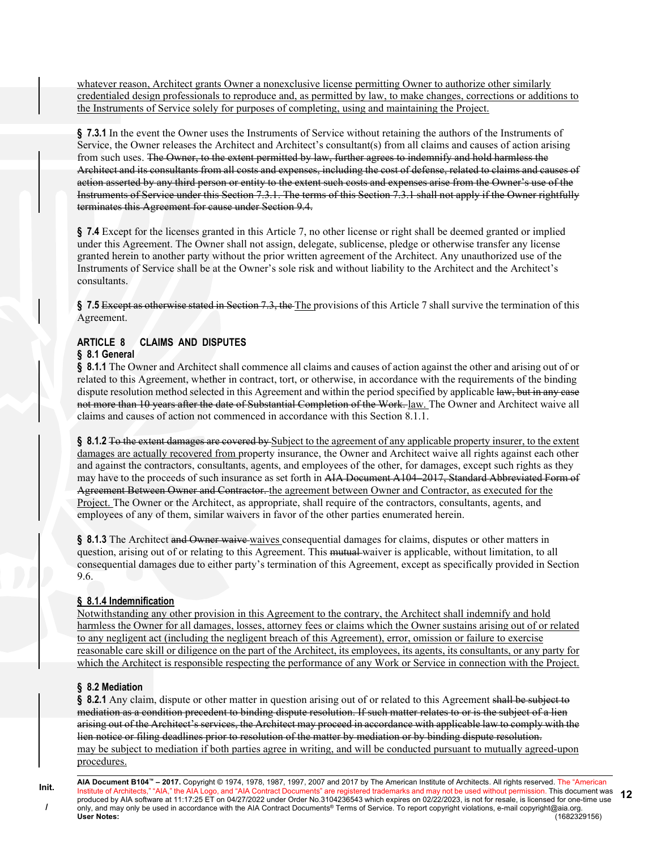whatever reason, Architect grants Owner a nonexclusive license permitting Owner to authorize other similarly credentialed design professionals to reproduce and, as permitted by law, to make changes, corrections or additions to the Instruments of Service solely for purposes of completing, using and maintaining the Project.

§ 7.3.1 In the event the Owner uses the Instruments of Service without retaining the authors of the Instruments of Service, the Owner releases the Architect and Architect's consultant(s) from all claims and causes of action arising from such uses. The Owner, to the extent permitted by law, further agrees to indemnify and hold harmless the Architect and its consultants from all costs and expenses, including the cost of defense, related to claims and causes of action asserted by any third person or entity to the extent such costs and expenses arise from the Owner's use of the Instruments of Service under this Section 7.3.1. The terms of this Section 7.3.1 shall not apply if the Owner rightfully terminates this Agreement for cause under Section 9.4.

§ 7.4 Except for the licenses granted in this Article 7, no other license or right shall be deemed granted or implied under this Agreement. The Owner shall not assign, delegate, sublicense, pledge or otherwise transfer any license granted herein to another party without the prior written agreement of the Architect. Any unauthorized use of the Instruments of Service shall be at the Owner's sole risk and without liability to the Architect and the Architect's consultants.

§ 7.5 Except as otherwise stated in Section 7.3, the The provisions of this Article 7 shall survive the termination of this Agreement.

# ARTICLE 8 CLAIMS AND DISPUTES

# § 8.1 General

§ 8.1.1 The Owner and Architect shall commence all claims and causes of action against the other and arising out of or related to this Agreement, whether in contract, tort, or otherwise, in accordance with the requirements of the binding dispute resolution method selected in this Agreement and within the period specified by applicable law, but in any case not more than 10 years after the date of Substantial Completion of the Work. law. The Owner and Architect waive all claims and causes of action not commenced in accordance with this Section 8.1.1.

§ 8.1.2 To the extent damages are covered by Subject to the agreement of any applicable property insurer, to the extent damages are actually recovered from property insurance, the Owner and Architect waive all rights against each other and against the contractors, consultants, agents, and employees of the other, for damages, except such rights as they may have to the proceeds of such insurance as set forth in AIA Document A104–2017, Standard Abbreviated Form of Agreement Between Owner and Contractor. the agreement between Owner and Contractor, as executed for the Project. The Owner or the Architect, as appropriate, shall require of the contractors, consultants, agents, and employees of any of them, similar waivers in favor of the other parties enumerated herein.

§ 8.1.3 The Architect and Owner waive waives consequential damages for claims, disputes or other matters in question, arising out of or relating to this Agreement. This mutual waiver is applicable, without limitation, to all consequential damages due to either party's termination of this Agreement, except as specifically provided in Section 9.6.

# § 8.1.4 Indemnification

Notwithstanding any other provision in this Agreement to the contrary, the Architect shall indemnify and hold harmless the Owner for all damages, losses, attorney fees or claims which the Owner sustains arising out of or related to any negligent act (including the negligent breach of this Agreement), error, omission or failure to exercise reasonable care skill or diligence on the part of the Architect, its employees, its agents, its consultants, or any party for which the Architect is responsible respecting the performance of any Work or Service in connection with the Project.

#### § 8.2 Mediation

Init. /

§ 8.2.1 Any claim, dispute or other matter in question arising out of or related to this Agreement shall be subject to mediation as a condition precedent to binding dispute resolution. If such matter relates to or is the subject of a lien arising out of the Architect's services, the Architect may proceed in accordance with applicable law to comply with the lien notice or filing deadlines prior to resolution of the matter by mediation or by binding dispute resolution. may be subject to mediation if both parties agree in writing, and will be conducted pursuant to mutually agreed-upon procedures.

AIA Document B104™ – 2017. Copyright © 1974, 1978, 1987, 1997, 2007 and 2017 by The American Institute of Architects. All rights reserved. The "American Institute of Architects," "AIA," the AIA Logo, and "AIA Contract Documents" are registered trademarks and may not be used without permission. This document was produced by AIA software at 11:17:25 ET on 04/27/2022 under Order No.3104236543 which expires on 02/22/2023, is not for resale, is licensed for one-time use only, and may only be used in accordance with the AIA Contract Documents® Terms of Service. To report copyright violations, e-mail copyright@aia.org. User Notes: (1682329156) 12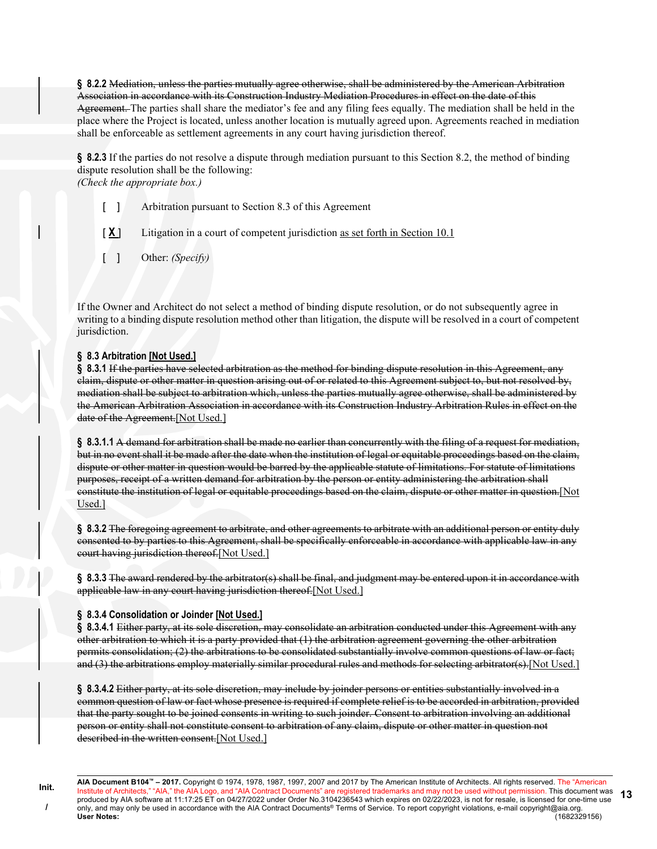§ 8.2.2 Mediation, unless the parties mutually agree otherwise, shall be administered by the American Arbitration Association in accordance with its Construction Industry Mediation Procedures in effect on the date of this Agreement. The parties shall share the mediator's fee and any filing fees equally. The mediation shall be held in the place where the Project is located, unless another location is mutually agreed upon. Agreements reached in mediation shall be enforceable as settlement agreements in any court having jurisdiction thereof.

§ 8.2.3 If the parties do not resolve a dispute through mediation pursuant to this Section 8.2, the method of binding dispute resolution shall be the following: (Check the appropriate box.)

[ ] Arbitration pursuant to Section 8.3 of this Agreement

[ $X$ ] Litigation in a court of competent jurisdiction as set forth in Section 10.1

[ ] Other: (Specify)

If the Owner and Architect do not select a method of binding dispute resolution, or do not subsequently agree in writing to a binding dispute resolution method other than litigation, the dispute will be resolved in a court of competent jurisdiction.

#### § 8.3 Arbitration [Not Used.]

§ 8.3.1 If the parties have selected arbitration as the method for binding dispute resolution in this Agreement, any claim, dispute or other matter in question arising out of or related to this Agreement subject to, but not resolved by, mediation shall be subject to arbitration which, unless the parties mutually agree otherwise, shall be administered by the American Arbitration Association in accordance with its Construction Industry Arbitration Rules in effect on the date of the Agreement.[Not Used.]

§ 8.3.1.1 A demand for arbitration shall be made no earlier than concurrently with the filing of a request for mediation, but in no event shall it be made after the date when the institution of legal or equitable proceedings based on the claim, dispute or other matter in question would be barred by the applicable statute of limitations. For statute of limitations purposes, receipt of a written demand for arbitration by the person or entity administering the arbitration shall constitute the institution of legal or equitable proceedings based on the claim, dispute or other matter in question.[Not Used.]

§ 8.3.2 The foregoing agreement to arbitrate, and other agreements to arbitrate with an additional person or entity duly consented to by parties to this Agreement, shall be specifically enforceable in accordance with applicable law in any court having jurisdiction thereof.[Not Used.]

§ 8.3.3 The award rendered by the arbitrator(s) shall be final, and judgment may be entered upon it in accordance with applicable law in any court having jurisdiction thereof.[Not Used.]

#### § 8.3.4 Consolidation or Joinder [Not Used.]

§ 8.3.4.1 Either party, at its sole discretion, may consolidate an arbitration conducted under this Agreement with any other arbitration to which it is a party provided that (1) the arbitration agreement governing the other arbitration permits consolidation; (2) the arbitrations to be consolidated substantially involve common questions of law or fact; and (3) the arbitrations employ materially similar procedural rules and methods for selecting arbitrator(s).[Not Used.]

§ 8.3.4.2 Either party, at its sole discretion, may include by joinder persons or entities substantially involved in a common question of law or fact whose presence is required if complete relief is to be accorded in arbitration, provided that the party sought to be joined consents in writing to such joinder. Consent to arbitration involving an additional person or entity shall not constitute consent to arbitration of any claim, dispute or other matter in question not described in the written consent.[Not Used.]

AIA Document B104™ – 2017. Copyright © 1974, 1978, 1987, 1997, 2007 and 2017 by The American Institute of Architects. All rights reserved. The "American Institute of Architects," "AIA," the AIA Logo, and "AIA Contract Documents" are registered trademarks and may not be used without permission. This document was produced by AIA software at 11:17:25 ET on 04/27/2022 under Order No.3104236543 which expires on 02/22/2023, is not for resale, is licensed for one-time use only, and may only be used in accordance with the AIA Contract Documents® Terms of Service. To report copyright violations, e-mail copyright@aia.org. User Notes: (1682329156) 13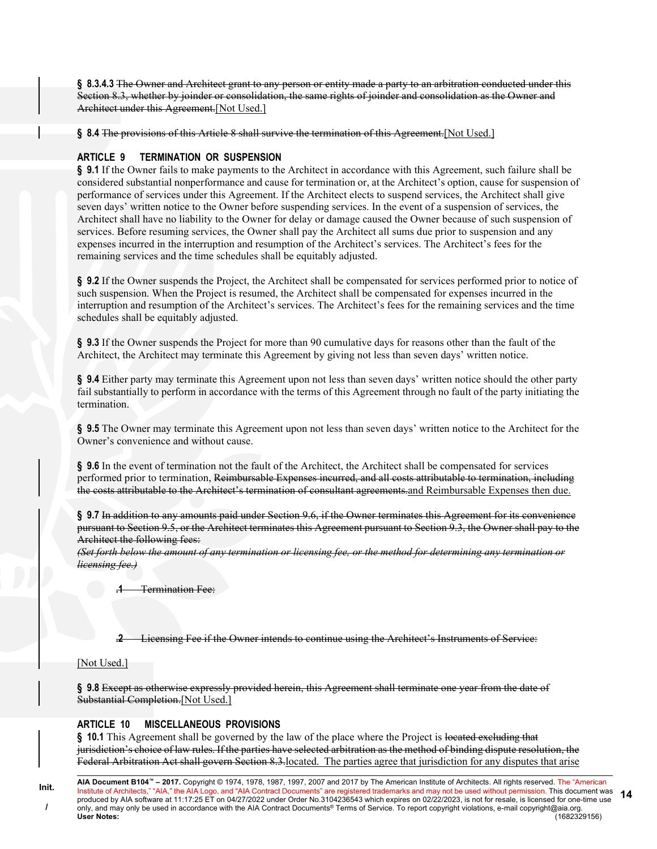§ 8.3.4.3 The Owner and Architect grant to any person or entity made a party to an arbitration conducted under this Section 8.3, whether by joinder or consolidation, the same rights of joinder and consolidation as the Owner and Architect under this Agreement.[Not Used.]

§ 8.4 The provisions of this Article 8 shall survive the termination of this Agreement. [Not Used.]

#### ARTICLE 9 TERMINATION OR SUSPENSION

§ 9.1 If the Owner fails to make payments to the Architect in accordance with this Agreement, such failure shall be considered substantial nonperformance and cause for termination or, at the Architect's option, cause for suspension of performance of services under this Agreement. If the Architect elects to suspend services, the Architect shall give seven days' written notice to the Owner before suspending services. In the event of a suspension of services, the Architect shall have no liability to the Owner for delay or damage caused the Owner because of such suspension of services. Before resuming services, the Owner shall pay the Architect all sums due prior to suspension and any expenses incurred in the interruption and resumption of the Architect's services. The Architect's fees for the remaining services and the time schedules shall be equitably adjusted.

§ 9.2 If the Owner suspends the Project, the Architect shall be compensated for services performed prior to notice of such suspension. When the Project is resumed, the Architect shall be compensated for expenses incurred in the interruption and resumption of the Architect's services. The Architect's fees for the remaining services and the time schedules shall be equitably adjusted.

§ 9.3 If the Owner suspends the Project for more than 90 cumulative days for reasons other than the fault of the Architect, the Architect may terminate this Agreement by giving not less than seven days' written notice.

§ 9.4 Either party may terminate this Agreement upon not less than seven days' written notice should the other party fail substantially to perform in accordance with the terms of this Agreement through no fault of the party initiating the termination.

§ 9.5 The Owner may terminate this Agreement upon not less than seven days' written notice to the Architect for the Owner's convenience and without cause.

§ 9.6 In the event of termination not the fault of the Architect, the Architect shall be compensated for services performed prior to termination, Reimbursable Expenses incurred, and all costs attributable to termination, including the costs attributable to the Architect's termination of consultant agreements.and Reimbursable Expenses then due.

§ 9.7 In addition to any amounts paid under Section 9.6, if the Owner terminates this Agreement for its convenience pursuant to Section 9.5, or the Architect terminates this Agreement pursuant to Section 9.3, the Owner shall pay to the Architect the following fees:

(Set forth below the amount of any termination or licensing fee, or the method for determining any termination or licensing fee.)

Termination Fee:

.2 Licensing Fee if the Owner intends to continue using the Architect's Instruments of Service:

#### [Not Used.]

§ 9.8 Except as otherwise expressly provided herein, this Agreement shall terminate one year from the date of Substantial Completion.[Not Used.]

#### ARTICLE 10 MISCELLANEOUS PROVISIONS

§ 10.1 This Agreement shall be governed by the law of the place where the Project is located excluding that jurisdiction's choice of law rules. If the parties have selected arbitration as the method of binding dispute resolution, the Federal Arbitration Act shall govern Section 8.3.located. The parties agree that jurisdiction for any disputes that arise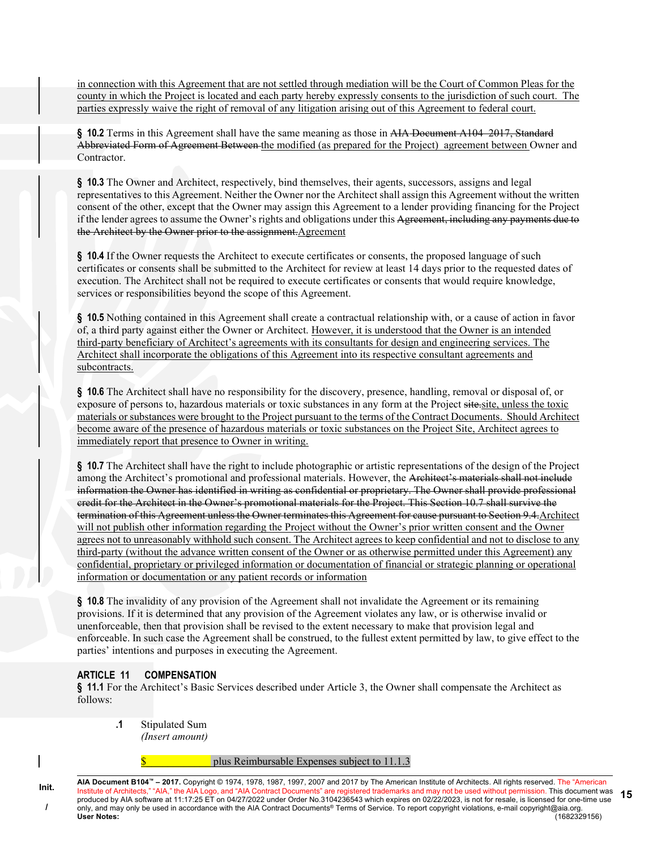in connection with this Agreement that are not settled through mediation will be the Court of Common Pleas for the county in which the Project is located and each party hereby expressly consents to the jurisdiction of such court. The parties expressly waive the right of removal of any litigation arising out of this Agreement to federal court.

§ 10.2 Terms in this Agreement shall have the same meaning as those in AIA Document A104–2017, Standard Abbreviated Form of Agreement Between the modified (as prepared for the Project) agreement between Owner and Contractor.

§ 10.3 The Owner and Architect, respectively, bind themselves, their agents, successors, assigns and legal representatives to this Agreement. Neither the Owner nor the Architect shall assign this Agreement without the written consent of the other, except that the Owner may assign this Agreement to a lender providing financing for the Project if the lender agrees to assume the Owner's rights and obligations under this Agreement, including any payments due to the Architect by the Owner prior to the assignment.Agreement

§ 10.4 If the Owner requests the Architect to execute certificates or consents, the proposed language of such certificates or consents shall be submitted to the Architect for review at least 14 days prior to the requested dates of execution. The Architect shall not be required to execute certificates or consents that would require knowledge, services or responsibilities beyond the scope of this Agreement.

§ 10.5 Nothing contained in this Agreement shall create a contractual relationship with, or a cause of action in favor of, a third party against either the Owner or Architect. However, it is understood that the Owner is an intended third-party beneficiary of Architect's agreements with its consultants for design and engineering services. The Architect shall incorporate the obligations of this Agreement into its respective consultant agreements and subcontracts.

§ 10.6 The Architect shall have no responsibility for the discovery, presence, handling, removal or disposal of, or exposure of persons to, hazardous materials or toxic substances in any form at the Project site site, unless the toxic materials or substances were brought to the Project pursuant to the terms of the Contract Documents. Should Architect become aware of the presence of hazardous materials or toxic substances on the Project Site, Architect agrees to immediately report that presence to Owner in writing.

§ 10.7 The Architect shall have the right to include photographic or artistic representations of the design of the Project among the Architect's promotional and professional materials. However, the Architect's materials shall not include information the Owner has identified in writing as confidential or proprietary. The Owner shall provide professional credit for the Architect in the Owner's promotional materials for the Project. This Section 10.7 shall survive the termination of this Agreement unless the Owner terminates this Agreement for cause pursuant to Section 9.4.Architect will not publish other information regarding the Project without the Owner's prior written consent and the Owner agrees not to unreasonably withhold such consent. The Architect agrees to keep confidential and not to disclose to any third-party (without the advance written consent of the Owner or as otherwise permitted under this Agreement) any confidential, proprietary or privileged information or documentation of financial or strategic planning or operational information or documentation or any patient records or information

§ 10.8 The invalidity of any provision of the Agreement shall not invalidate the Agreement or its remaining provisions. If it is determined that any provision of the Agreement violates any law, or is otherwise invalid or unenforceable, then that provision shall be revised to the extent necessary to make that provision legal and enforceable. In such case the Agreement shall be construed, to the fullest extent permitted by law, to give effect to the parties' intentions and purposes in executing the Agreement.

### ARTICLE 11 COMPENSATION

Init. /

§ 11.1 For the Architect's Basic Services described under Article 3, the Owner shall compensate the Architect as follows:

.1 Stipulated Sum (Insert amount)

plus Reimbursable Expenses subject to 11.1.3

AIA Document B104™ – 2017. Copyright © 1974, 1978, 1987, 1997, 2007 and 2017 by The American Institute of Architects. All rights reserved. The "American Institute of Architects," "AIA," the AIA Logo, and "AIA Contract Documents" are registered trademarks and may not be used without permission. This document was produced by AIA software at 11:17:25 ET on 04/27/2022 under Order No.3104236543 which expires on 02/22/2023, is not for resale, is licensed for one-time use only, and may only be used in accordance with the AIA Contract Documents® Terms of Service. To report copyright violations, e-mail copyright@aia.org. User Notes: (1682329156) 15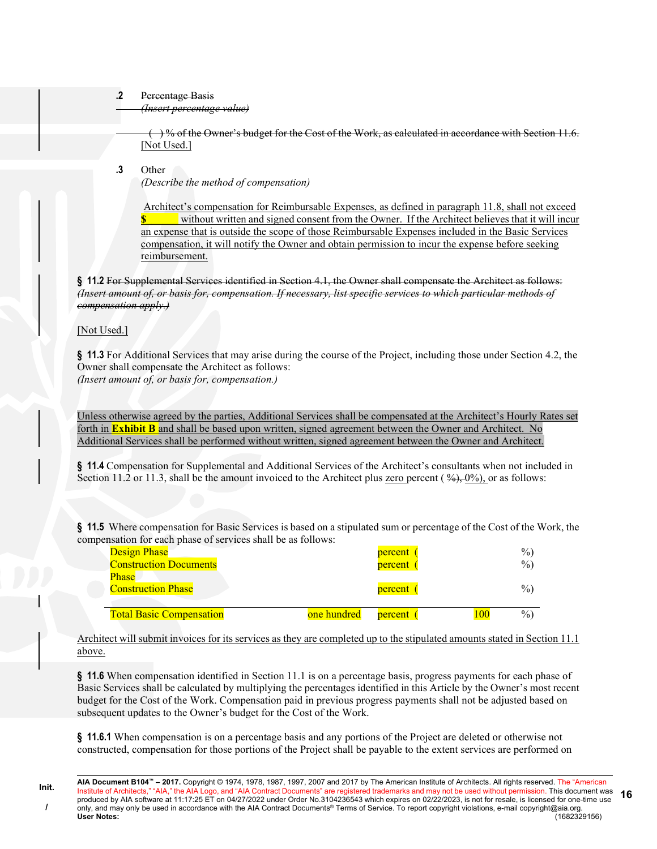#### .2 Percentage Basis

(Insert percentage value)

 $( )$ % of the Owner's budget for the Cost of the Work, as calculated in accordance with Section 11.6. [Not Used.]

.3 Other

(Describe the method of compensation)

 Architect's compensation for Reimbursable Expenses, as defined in paragraph 11.8, shall not exceed without written and signed consent from the Owner. If the Architect believes that it will incur an expense that is outside the scope of those Reimbursable Expenses included in the Basic Services compensation, it will notify the Owner and obtain permission to incur the expense before seeking reimbursement.

§ 11.2 For Supplemental Services identified in Section 4.1, the Owner shall compensate the Architect as follows: (Insert amount of, or basis for, compensation. If necessary, list specific services to which particular methods of compensation apply.)

#### [Not Used.]

§ 11.3 For Additional Services that may arise during the course of the Project, including those under Section 4.2, the Owner shall compensate the Architect as follows: (Insert amount of, or basis for, compensation.)

Unless otherwise agreed by the parties, Additional Services shall be compensated at the Architect's Hourly Rates set forth in **Exhibit B** and shall be based upon written, signed agreement between the Owner and Architect. No Additional Services shall be performed without written, signed agreement between the Owner and Architect.

§ 11.4 Compensation for Supplemental and Additional Services of the Architect's consultants when not included in Section 11.2 or 11.3, shall be the amount invoiced to the Architect plus zero percent ( $\frac{\omega_{0}}{\omega_{0}}$ , or as follows:

§ 11.5 Where compensation for Basic Services is based on a stipulated sum or percentage of the Cost of the Work, the compensation for each phase of services shall be as follows:

| <b>Design Phase</b>             |             | percent |     | $\%$ |
|---------------------------------|-------------|---------|-----|------|
| <b>Construction Documents</b>   |             | percent |     | $\%$ |
| <b>Phase</b>                    |             |         |     |      |
| <b>Construction Phase</b>       |             | percent |     | $\%$ |
|                                 |             |         |     |      |
| <b>Total Basic Compensation</b> | one hundred | percent | 100 | $\%$ |

Architect will submit invoices for its services as they are completed up to the stipulated amounts stated in Section 11.1 above.

§ 11.6 When compensation identified in Section 11.1 is on a percentage basis, progress payments for each phase of Basic Services shall be calculated by multiplying the percentages identified in this Article by the Owner's most recent budget for the Cost of the Work. Compensation paid in previous progress payments shall not be adjusted based on subsequent updates to the Owner's budget for the Cost of the Work.

§ 11.6.1 When compensation is on a percentage basis and any portions of the Project are deleted or otherwise not constructed, compensation for those portions of the Project shall be payable to the extent services are performed on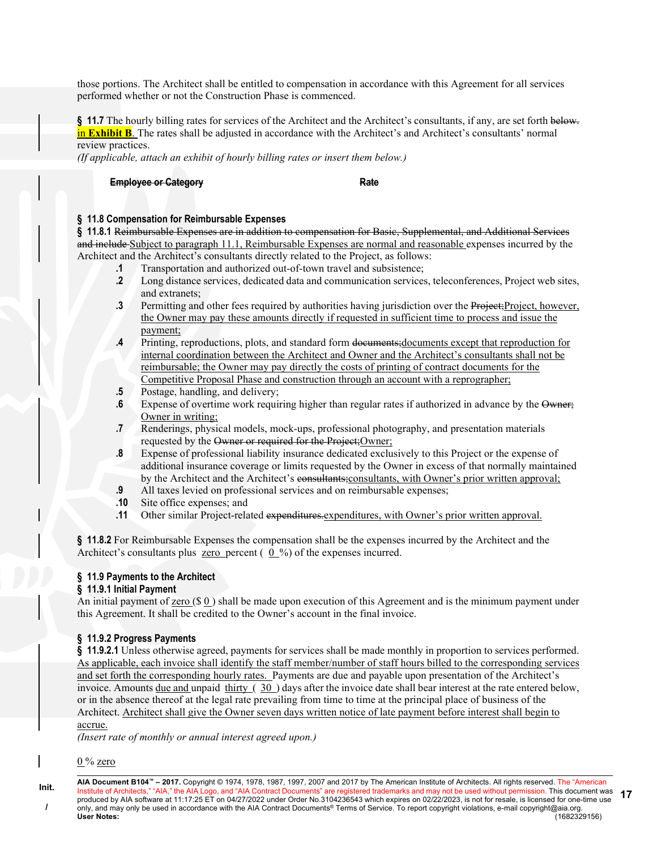those portions. The Architect shall be entitled to compensation in accordance with this Agreement for all services performed whether or not the Construction Phase is commenced.

§ 11.7 The hourly billing rates for services of the Architect and the Architect's consultants, if any, are set forth below. in Exhibit B. The rates shall be adjusted in accordance with the Architect's and Architect's consultants' normal review practices.

(If applicable, attach an exhibit of hourly billing rates or insert them below.)

#### Employee or Category **Rate** Rate

# § 11.8 Compensation for Reimbursable Expenses

§ 11.8.1 Reimbursable Expenses are in addition to compensation for Basic, Supplemental, and Additional Services and include Subject to paragraph 11.1, Reimbursable Expenses are normal and reasonable expenses incurred by the Architect and the Architect's consultants directly related to the Project, as follows:

- .1 Transportation and authorized out-of-town travel and subsistence;
- .2 Long distance services, dedicated data and communication services, teleconferences, Project web sites, and extranets;
- .3 Permitting and other fees required by authorities having jurisdiction over the Project;Project, however, the Owner may pay these amounts directly if requested in sufficient time to process and issue the payment;
- .4 Printing, reproductions, plots, and standard form documents;documents except that reproduction for internal coordination between the Architect and Owner and the Architect's consultants shall not be reimbursable; the Owner may pay directly the costs of printing of contract documents for the Competitive Proposal Phase and construction through an account with a reprographer;
- .5 Postage, handling, and delivery;
- .6 Expense of overtime work requiring higher than regular rates if authorized in advance by the Owner; Owner in writing;
- .7 Renderings, physical models, mock-ups, professional photography, and presentation materials requested by the Owner or required for the Project;Owner;
- .8 Expense of professional liability insurance dedicated exclusively to this Project or the expense of additional insurance coverage or limits requested by the Owner in excess of that normally maintained by the Architect and the Architect's consultants;consultants, with Owner's prior written approval;
- .9 All taxes levied on professional services and on reimbursable expenses;
- .10 Site office expenses; and
- .11 Other similar Project-related expenditures, expenditures, with Owner's prior written approval.

§ 11.8.2 For Reimbursable Expenses the compensation shall be the expenses incurred by the Architect and the Architect's consultants plus zero percent  $(0, 0, 0)$  of the expenses incurred.

#### § 11.9 Payments to the Architect

#### § 11.9.1 Initial Payment

An initial payment of zero (\$ 0 ) shall be made upon execution of this Agreement and is the minimum payment under this Agreement. It shall be credited to the Owner's account in the final invoice.

#### § 11.9.2 Progress Payments

§ 11.9.2.1 Unless otherwise agreed, payments for services shall be made monthly in proportion to services performed. As applicable, each invoice shall identify the staff member/number of staff hours billed to the corresponding services and set forth the corresponding hourly rates. Payments are due and payable upon presentation of the Architect's invoice. Amounts due and unpaid thirty ( 30 ) days after the invoice date shall bear interest at the rate entered below, or in the absence thereof at the legal rate prevailing from time to time at the principal place of business of the Architect. Architect shall give the Owner seven days written notice of late payment before interest shall begin to accrue.

(Insert rate of monthly or annual interest agreed upon.)

 $0\%$  zero

Init. /

AIA Document B104™ – 2017. Copyright © 1974, 1978, 1987, 1997, 2007 and 2017 by The American Institute of Architects. All rights reserved. The "American Institute of Architects," "AIA," the AIA Logo, and "AIA Contract Documents" are registered trademarks and may not be used without permission. This document was produced by AIA software at 11:17:25 ET on 04/27/2022 under Order No.3104236543 which expires on 02/22/2023, is not for resale, is licensed for one-time use only, and may only be used in accordance with the AIA Contract Documents® Terms of Service. To report copyright violations, e-mail copyright@aia.org. User Notes: (1682329156) 17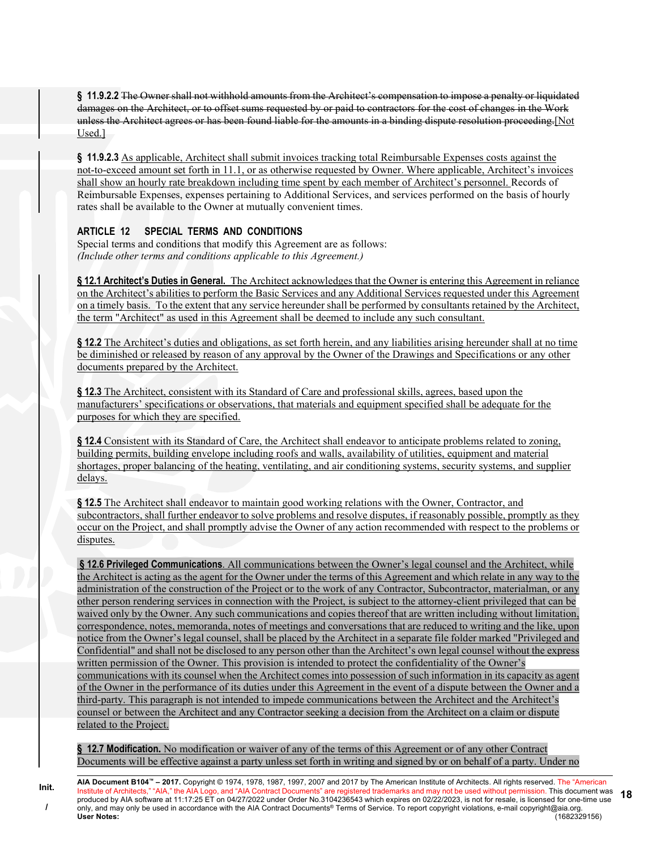§ 11.9.2.2 The Owner shall not withhold amounts from the Architect's compensation to impose a penalty or liquidated damages on the Architect, or to offset sums requested by or paid to contractors for the cost of changes in the Work unless the Architect agrees or has been found liable for the amounts in a binding dispute resolution proceeding.[Not Used.]

§ 11.9.2.3 As applicable, Architect shall submit invoices tracking total Reimbursable Expenses costs against the not-to-exceed amount set forth in 11.1, or as otherwise requested by Owner. Where applicable, Architect's invoices shall show an hourly rate breakdown including time spent by each member of Architect's personnel. Records of Reimbursable Expenses, expenses pertaining to Additional Services, and services performed on the basis of hourly rates shall be available to the Owner at mutually convenient times.

# ARTICLE 12 SPECIAL TERMS AND CONDITIONS

Init. /

Special terms and conditions that modify this Agreement are as follows: (Include other terms and conditions applicable to this Agreement.)

§ 12.1 Architect's Duties in General. The Architect acknowledges that the Owner is entering this Agreement in reliance on the Architect's abilities to perform the Basic Services and any Additional Services requested under this Agreement on a timely basis. To the extent that any service hereunder shall be performed by consultants retained by the Architect, the term "Architect" as used in this Agreement shall be deemed to include any such consultant.

§ 12.2 The Architect's duties and obligations, as set forth herein, and any liabilities arising hereunder shall at no time be diminished or released by reason of any approval by the Owner of the Drawings and Specifications or any other documents prepared by the Architect.

§ 12.3 The Architect, consistent with its Standard of Care and professional skills, agrees, based upon the manufacturers' specifications or observations, that materials and equipment specified shall be adequate for the purposes for which they are specified.

§ 12.4 Consistent with its Standard of Care, the Architect shall endeavor to anticipate problems related to zoning, building permits, building envelope including roofs and walls, availability of utilities, equipment and material shortages, proper balancing of the heating, ventilating, and air conditioning systems, security systems, and supplier delays.

§ 12.5 The Architect shall endeavor to maintain good working relations with the Owner, Contractor, and subcontractors, shall further endeavor to solve problems and resolve disputes, if reasonably possible, promptly as they occur on the Project, and shall promptly advise the Owner of any action recommended with respect to the problems or disputes.

 § 12.6 Privileged Communications. All communications between the Owner's legal counsel and the Architect, while the Architect is acting as the agent for the Owner under the terms of this Agreement and which relate in any way to the administration of the construction of the Project or to the work of any Contractor, Subcontractor, materialman, or any other person rendering services in connection with the Project, is subject to the attorney-client privileged that can be waived only by the Owner. Any such communications and copies thereof that are written including without limitation, correspondence, notes, memoranda, notes of meetings and conversations that are reduced to writing and the like, upon notice from the Owner's legal counsel, shall be placed by the Architect in a separate file folder marked "Privileged and Confidential" and shall not be disclosed to any person other than the Architect's own legal counsel without the express written permission of the Owner. This provision is intended to protect the confidentiality of the Owner's communications with its counsel when the Architect comes into possession of such information in its capacity as agent of the Owner in the performance of its duties under this Agreement in the event of a dispute between the Owner and a third-party. This paragraph is not intended to impede communications between the Architect and the Architect's counsel or between the Architect and any Contractor seeking a decision from the Architect on a claim or dispute related to the Project.

§ 12.7 Modification. No modification or waiver of any of the terms of this Agreement or of any other Contract Documents will be effective against a party unless set forth in writing and signed by or on behalf of a party. Under no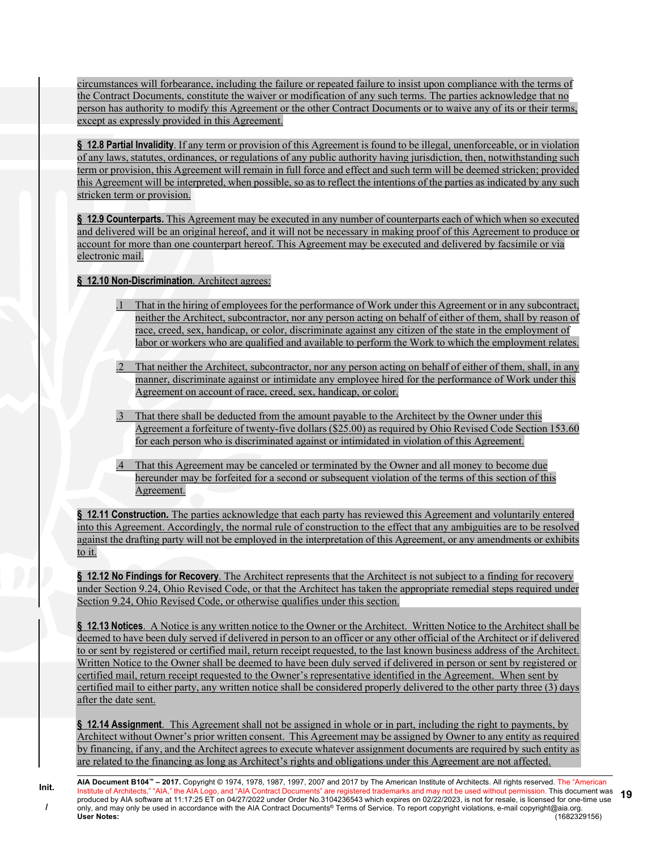circumstances will forbearance, including the failure or repeated failure to insist upon compliance with the terms of the Contract Documents, constitute the waiver or modification of any such terms. The parties acknowledge that no person has authority to modify this Agreement or the other Contract Documents or to waive any of its or their terms, except as expressly provided in this Agreement.

§ 12.8 Partial Invalidity. If any term or provision of this Agreement is found to be illegal, unenforceable, or in violation of any laws, statutes, ordinances, or regulations of any public authority having jurisdiction, then, notwithstanding such term or provision, this Agreement will remain in full force and effect and such term will be deemed stricken; provided this Agreement will be interpreted, when possible, so as to reflect the intentions of the parties as indicated by any such stricken term or provision.

§ 12.9 Counterparts. This Agreement may be executed in any number of counterparts each of which when so executed and delivered will be an original hereof, and it will not be necessary in making proof of this Agreement to produce or account for more than one counterpart hereof. This Agreement may be executed and delivered by facsimile or via electronic mail.

§ 12.10 Non-Discrimination. Architect agrees:

- .1 That in the hiring of employees for the performance of Work under this Agreement or in any subcontract, neither the Architect, subcontractor, nor any person acting on behalf of either of them, shall by reason of race, creed, sex, handicap, or color, discriminate against any citizen of the state in the employment of labor or workers who are qualified and available to perform the Work to which the employment relates.
- .2 That neither the Architect, subcontractor, nor any person acting on behalf of either of them, shall, in any manner, discriminate against or intimidate any employee hired for the performance of Work under this Agreement on account of race, creed, sex, handicap, or color.
- .3 That there shall be deducted from the amount payable to the Architect by the Owner under this Agreement a forfeiture of twenty-five dollars (\$25.00) as required by Ohio Revised Code Section 153.60 for each person who is discriminated against or intimidated in violation of this Agreement.
- .4 That this Agreement may be canceled or terminated by the Owner and all money to become due hereunder may be forfeited for a second or subsequent violation of the terms of this section of this Agreement.

§ 12.11 Construction. The parties acknowledge that each party has reviewed this Agreement and voluntarily entered into this Agreement. Accordingly, the normal rule of construction to the effect that any ambiguities are to be resolved against the drafting party will not be employed in the interpretation of this Agreement, or any amendments or exhibits to it.

§ 12.12 No Findings for Recovery. The Architect represents that the Architect is not subject to a finding for recovery under Section 9.24, Ohio Revised Code, or that the Architect has taken the appropriate remedial steps required under Section 9.24, Ohio Revised Code, or otherwise qualifies under this section.

§ 12.13 Notices. A Notice is any written notice to the Owner or the Architect. Written Notice to the Architect shall be deemed to have been duly served if delivered in person to an officer or any other official of the Architect or if delivered to or sent by registered or certified mail, return receipt requested, to the last known business address of the Architect. Written Notice to the Owner shall be deemed to have been duly served if delivered in person or sent by registered or certified mail, return receipt requested to the Owner's representative identified in the Agreement. When sent by certified mail to either party, any written notice shall be considered properly delivered to the other party three (3) days after the date sent.

§ 12.14 Assignment. This Agreement shall not be assigned in whole or in part, including the right to payments, by Architect without Owner's prior written consent. This Agreement may be assigned by Owner to any entity as required by financing, if any, and the Architect agrees to execute whatever assignment documents are required by such entity as are related to the financing as long as Architect's rights and obligations under this Agreement are not affected.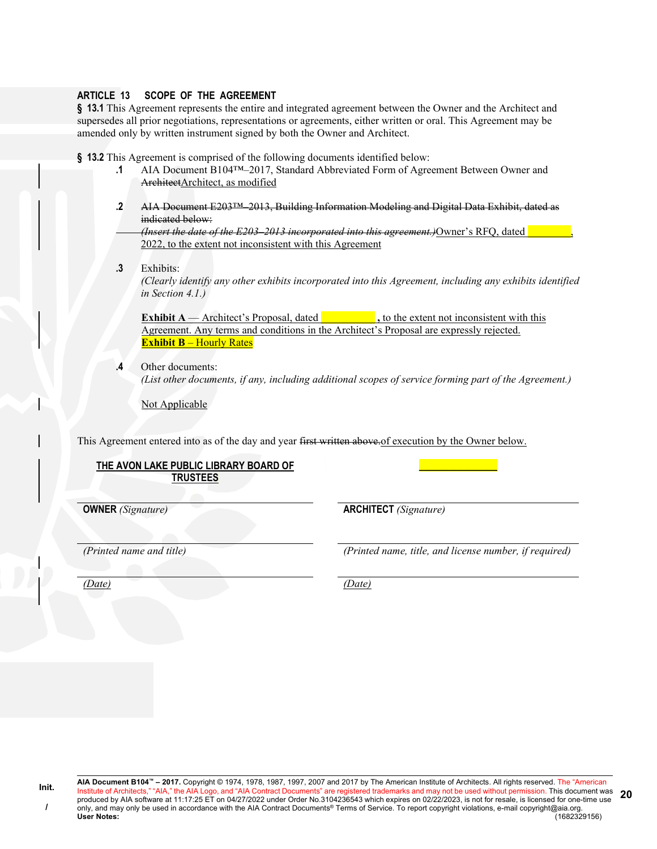#### ARTICLE 13 SCOPE OF THE AGREEMENT

§ 13.1 This Agreement represents the entire and integrated agreement between the Owner and the Architect and supersedes all prior negotiations, representations or agreements, either written or oral. This Agreement may be amended only by written instrument signed by both the Owner and Architect.

§ 13.2 This Agreement is comprised of the following documents identified below:

- .1 AIA Document B104™–2017, Standard Abbreviated Form of Agreement Between Owner and ArchitectArchitect, as modified
- .2 AIA Document E203™–2013, Building Information Modeling and Digital Data Exhibit, dated as indicated below:

(Insert the date of the  $E203-2013$  incorporated into this agreement.) Owner's RFQ, dated 2022, to the extent not inconsistent with this Agreement

#### .3 Exhibits:

(Clearly identify any other exhibits incorporated into this Agreement, including any exhibits identified in Section 4.1.)

**Exhibit A** — Architect's Proposal, dated  $\blacksquare$ , to the extent not inconsistent with this Agreement. Any terms and conditions in the Architect's Proposal are expressly rejected. **Exhibit B** – Hourly Rates

.4 Other documents: (List other documents, if any, including additional scopes of service forming part of the Agreement.)

Not Applicable

This Agreement entered into as of the day and year first written above. of execution by the Owner below.

# THE AVON LAKE PUBLIC LIBRARY BOARD OF **TRUSTEES**

OWNER (Signature) ARCHITECT (Signature)

Init. /

(Printed name and title) (Printed name, title, and license number, if required)

\_\_\_\_\_\_\_\_\_\_\_\_\_\_\_\_

20

(Date) (Date)